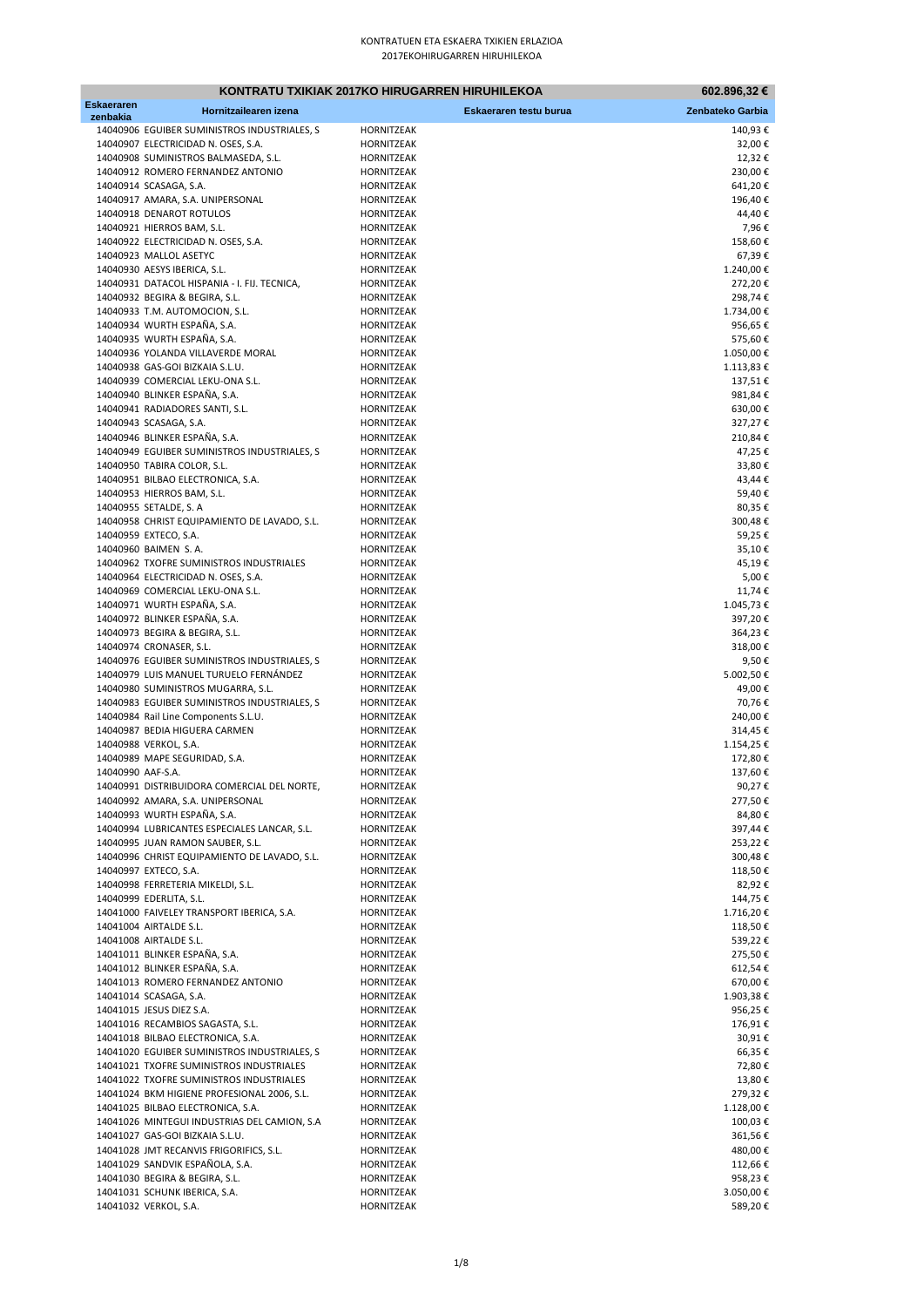|                               |                                              | KONTRATU TXIKIAK 2017KO HIRUGARREN HIRUHILEKOA | 602.896,32 €     |
|-------------------------------|----------------------------------------------|------------------------------------------------|------------------|
| <b>Eskaeraren</b><br>zenbakia | Hornitzailearen izena                        | Eskaeraren testu burua                         | Zenbateko Garbia |
|                               | 14040906 EGUIBER SUMINISTROS INDUSTRIALES, S | HORNITZEAK                                     | 140,93€          |
|                               | 14040907 ELECTRICIDAD N. OSES, S.A.          | HORNITZEAK                                     | 32,00€           |
|                               | 14040908 SUMINISTROS BALMASEDA, S.L.         | HORNITZEAK                                     | 12,32€           |
|                               | 14040912 ROMERO FERNANDEZ ANTONIO            | HORNITZEAK                                     | 230,00€          |
|                               | 14040914 SCASAGA, S.A.                       | HORNITZEAK                                     | 641,20€          |
|                               | 14040917 AMARA, S.A. UNIPERSONAL             | HORNITZEAK                                     | 196,40€          |
|                               | 14040918 DENAROT ROTULOS                     | HORNITZEAK                                     | 44,40€           |
|                               | 14040921 HIERROS BAM, S.L.                   | HORNITZEAK                                     | 7,96€            |
|                               | 14040922 ELECTRICIDAD N. OSES, S.A.          | HORNITZEAK                                     | 158,60€          |
|                               | 14040923 MALLOL ASETYC                       | HORNITZEAK                                     | 67,39€           |
|                               | 14040930 AESYS IBERICA, S.L.                 | HORNITZEAK                                     | 1.240,00€        |
|                               | 14040931 DATACOL HISPANIA - I. FIJ. TECNICA, | HORNITZEAK                                     | 272,20€          |
|                               | 14040932 BEGIRA & BEGIRA, S.L.               | HORNITZEAK                                     | 298,74€          |
|                               | 14040933 T.M. AUTOMOCION, S.L.               | HORNITZEAK                                     | 1.734,00€        |
|                               | 14040934 WURTH ESPAÑA, S.A.                  | HORNITZEAK                                     | 956,65€          |
|                               | 14040935 WURTH ESPAÑA, S.A.                  | HORNITZEAK                                     | 575,60€          |
|                               | 14040936 YOLANDA VILLAVERDE MORAL            | HORNITZEAK                                     | 1.050,00€        |
|                               | 14040938 GAS-GOI BIZKAIA S.L.U.              | HORNITZEAK                                     | 1.113,83 €       |
|                               | 14040939 COMERCIAL LEKU-ONA S.L.             | HORNITZEAK                                     | 137,51€          |
|                               | 14040940 BLINKER ESPAÑA, S.A.                | HORNITZEAK                                     | 981,84€          |
|                               | 14040941 RADIADORES SANTI, S.L.              | HORNITZEAK                                     | 630,00€          |
|                               | 14040943 SCASAGA, S.A.                       | HORNITZEAK                                     | 327,27€          |
|                               | 14040946 BLINKER ESPAÑA, S.A.                | HORNITZEAK                                     | 210,84€          |
|                               | 14040949 EGUIBER SUMINISTROS INDUSTRIALES, S | HORNITZEAK                                     | 47,25€           |
|                               | 14040950 TABIRA COLOR, S.L.                  | HORNITZEAK                                     | 33,80€           |
|                               | 14040951 BILBAO ELECTRONICA, S.A.            | HORNITZEAK                                     | 43,44€           |
|                               | 14040953 HIERROS BAM, S.L.                   | HORNITZEAK                                     | 59,40€           |
|                               | 14040955 SETALDE, S. A                       | HORNITZEAK                                     | 80,35€           |
|                               | 14040958 CHRIST EQUIPAMIENTO DE LAVADO, S.L. | HORNITZEAK                                     | 300,48€          |
|                               | 14040959 EXTECO, S.A.                        | HORNITZEAK                                     | 59,25€           |
|                               | 14040960 BAIMEN S.A.                         | HORNITZEAK                                     | 35,10€           |
|                               | 14040962 TXOFRE SUMINISTROS INDUSTRIALES     | HORNITZEAK                                     | 45,19€           |
|                               | 14040964 ELECTRICIDAD N. OSES, S.A.          | HORNITZEAK                                     | 5,00€            |
|                               | 14040969 COMERCIAL LEKU-ONA S.L.             | HORNITZEAK                                     | 11,74€           |
|                               | 14040971 WURTH ESPAÑA, S.A.                  | HORNITZEAK                                     | 1.045,73€        |
|                               | 14040972 BLINKER ESPAÑA, S.A.                | HORNITZEAK                                     | 397,20€          |
|                               | 14040973 BEGIRA & BEGIRA, S.L.               | HORNITZEAK                                     | 364,23€          |
|                               | 14040974 CRONASER, S.L.                      | HORNITZEAK                                     | 318,00€          |
|                               | 14040976 EGUIBER SUMINISTROS INDUSTRIALES, S | HORNITZEAK                                     | 9,50€            |
|                               | 14040979 LUIS MANUEL TURUELO FERNÁNDEZ       | HORNITZEAK                                     | 5.002,50€        |
|                               | 14040980 SUMINISTROS MUGARRA, S.L.           | HORNITZEAK                                     | 49,00€           |
|                               | 14040983 EGUIBER SUMINISTROS INDUSTRIALES, S | HORNITZEAK                                     | 70,76€           |
|                               | 14040984 Rail Line Components S.L.U.         | HORNITZEAK                                     | 240,00€          |
|                               | 14040987 BEDIA HIGUERA CARMEN                | HORNITZEAK                                     | 314,45€          |
|                               | 14040988 VERKOL, S.A.                        | HORNITZEAK                                     | 1.154,25€        |
|                               | 14040989 MAPE SEGURIDAD, S.A.                | HORNITZEAK                                     | 172,80€          |
| 14040990 AAF-S.A.             |                                              | HORNITZEAK                                     | 137,60€          |
|                               | 14040991 DISTRIBUIDORA COMERCIAL DEL NORTE,  | HORNITZEAK                                     | 90,27€           |
|                               | 14040992 AMARA, S.A. UNIPERSONAL             | HORNITZEAK                                     | 277,50€          |
|                               | 14040993 WURTH ESPAÑA, S.A.                  | HORNITZEAK                                     | 84,80€           |
|                               | 14040994 LUBRICANTES ESPECIALES LANCAR, S.L. | HORNITZEAK                                     | 397,44€          |
|                               | 14040995 JUAN RAMON SAUBER, S.L.             | HORNITZEAK                                     | 253,22€          |
|                               | 14040996 CHRIST EQUIPAMIENTO DE LAVADO, S.L. | HORNITZEAK                                     | 300,48€          |
|                               | 14040997 EXTECO, S.A.                        | HORNITZEAK                                     | 118,50€          |
|                               | 14040998 FERRETERIA MIKELDI, S.L.            | HORNITZEAK                                     | 82,92€           |
|                               | 14040999 EDERLITA, S.L.                      | HORNITZEAK                                     | 144,75 €         |
|                               | 14041000 FAIVELEY TRANSPORT IBERICA, S.A.    | HORNITZEAK                                     | 1.716,20€        |
|                               | 14041004 AIRTALDE S.L.                       | HORNITZEAK                                     | 118,50€          |
|                               | 14041008 AIRTALDE S.L.                       | HORNITZEAK                                     | 539,22€          |
|                               | 14041011 BLINKER ESPAÑA, S.A.                | HORNITZEAK                                     | 275,50€          |
|                               | 14041012 BLINKER ESPAÑA, S.A.                | HORNITZEAK                                     | 612,54€          |
|                               | 14041013 ROMERO FERNANDEZ ANTONIO            | HORNITZEAK                                     | 670,00€          |
|                               | 14041014 SCASAGA, S.A.                       | HORNITZEAK                                     | 1.903,38€        |
|                               | 14041015 JESUS DIEZ S.A.                     | HORNITZEAK                                     | 956,25€          |
|                               | 14041016 RECAMBIOS SAGASTA, S.L.             | HORNITZEAK                                     | 176,91€          |
|                               | 14041018 BILBAO ELECTRONICA, S.A.            | HORNITZEAK                                     | 30,91€           |
|                               | 14041020 EGUIBER SUMINISTROS INDUSTRIALES, S | HORNITZEAK                                     | 66,35€           |
|                               | 14041021 TXOFRE SUMINISTROS INDUSTRIALES     | HORNITZEAK                                     | 72,80€           |
|                               | 14041022 TXOFRE SUMINISTROS INDUSTRIALES     | HORNITZEAK                                     | 13,80€           |
|                               | 14041024 BKM HIGIENE PROFESIONAL 2006, S.L.  | HORNITZEAK                                     | 279,32€          |
|                               | 14041025 BILBAO ELECTRONICA, S.A.            | HORNITZEAK                                     | 1.128,00€        |
|                               | 14041026 MINTEGUI INDUSTRIAS DEL CAMION, S.A | HORNITZEAK                                     | 100,03€          |
|                               | 14041027 GAS-GOI BIZKAIA S.L.U.              | HORNITZEAK                                     | 361,56€          |
|                               | 14041028 JMT RECANVIS FRIGORIFICS, S.L.      | HORNITZEAK                                     | 480,00€          |
|                               | 14041029 SANDVIK ESPAÑOLA, S.A.              | HORNITZEAK                                     | 112,66 €         |
|                               | 14041030 BEGIRA & BEGIRA, S.L.               | HORNITZEAK                                     | 958,23€          |
|                               | 14041031 SCHUNK IBERICA, S.A.                | HORNITZEAK                                     | 3.050,00€        |
|                               | 14041032 VERKOL, S.A.                        | HORNITZEAK                                     | 589,20€          |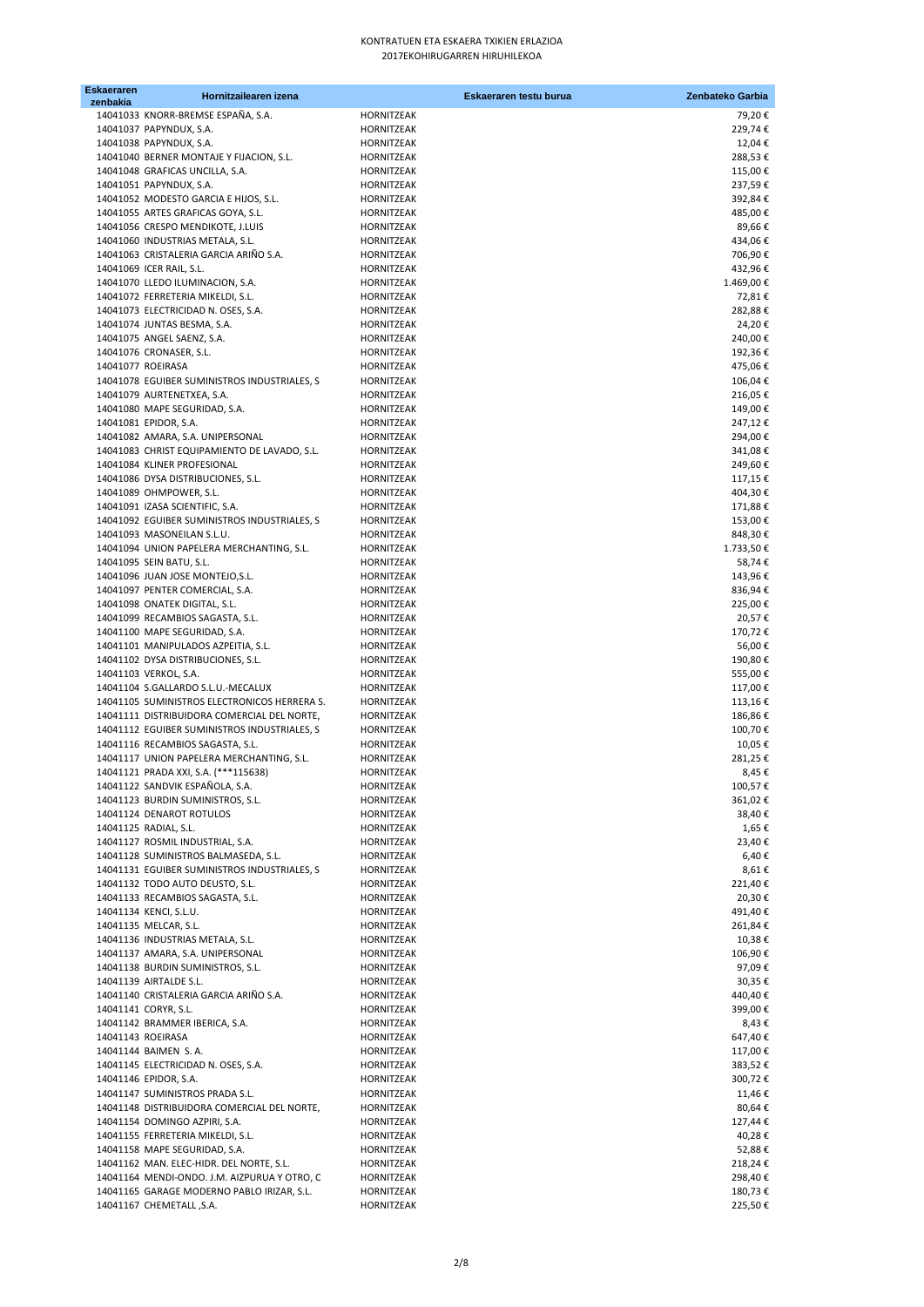| <b>Eskaeraren</b><br>zenbakia | Hornitzailearen izena                        | Eskaeraren testu burua | Zenbateko Garbia |
|-------------------------------|----------------------------------------------|------------------------|------------------|
|                               | 14041033 KNORR-BREMSE ESPAÑA, S.A.           | HORNITZEAK             | 79,20€           |
|                               | 14041037 PAPYNDUX, S.A.                      | HORNITZEAK             | 229,74€          |
|                               | 14041038 PAPYNDUX, S.A.                      | HORNITZEAK             | 12,04€           |
|                               | 14041040 BERNER MONTAJE Y FIJACION, S.L.     | HORNITZEAK             | 288,53€          |
|                               | 14041048 GRAFICAS UNCILLA, S.A.              | HORNITZEAK             | 115,00€          |
|                               | 14041051 PAPYNDUX, S.A.                      | HORNITZEAK             | 237,59€          |
|                               | 14041052 MODESTO GARCIA E HIJOS, S.L.        | HORNITZEAK             | 392,84€          |
|                               | 14041055 ARTES GRAFICAS GOYA, S.L.           | HORNITZEAK             | 485,00€          |
|                               | 14041056 CRESPO MENDIKOTE, J.LUIS            | HORNITZEAK             | 89,66€           |
|                               | 14041060 INDUSTRIAS METALA, S.L.             | HORNITZEAK             | 434,06€          |
|                               | 14041063 CRISTALERIA GARCIA ARIÑO S.A.       | HORNITZEAK             | 706,90€          |
|                               | 14041069 ICER RAIL, S.L.                     | HORNITZEAK             | 432,96€          |
|                               | 14041070 LLEDO ILUMINACION, S.A.             | HORNITZEAK             | 1.469,00€        |
|                               | 14041072 FERRETERIA MIKELDI, S.L.            | HORNITZEAK             | 72,81€           |
|                               | 14041073 ELECTRICIDAD N. OSES, S.A.          | HORNITZEAK             | 282,88€          |
|                               | 14041074 JUNTAS BESMA, S.A.                  | HORNITZEAK             | 24,20€           |
|                               | 14041075 ANGEL SAENZ, S.A.                   | HORNITZEAK             | 240,00€          |
|                               | 14041076 CRONASER, S.L.                      | HORNITZEAK             | 192,36€          |
| 14041077 ROEIRASA             |                                              | HORNITZEAK             | 475,06€          |
|                               | 14041078 EGUIBER SUMINISTROS INDUSTRIALES, S | HORNITZEAK             | 106,04€          |
|                               | 14041079 AURTENETXEA, S.A.                   | HORNITZEAK             | 216,05€          |
|                               | 14041080 MAPE SEGURIDAD, S.A.                | HORNITZEAK             | 149,00€          |
|                               | 14041081 EPIDOR, S.A.                        | HORNITZEAK             | 247,12€          |
|                               | 14041082 AMARA, S.A. UNIPERSONAL             | HORNITZEAK             | 294,00€          |
|                               | 14041083 CHRIST EQUIPAMIENTO DE LAVADO, S.L. | HORNITZEAK             | 341,08€          |
|                               | 14041084 KLINER PROFESIONAL                  | HORNITZEAK             | 249,60€          |
|                               | 14041086 DYSA DISTRIBUCIONES, S.L.           | HORNITZEAK             | 117,15€          |
|                               | 14041089 OHMPOWER, S.L.                      | HORNITZEAK             | 404,30€          |
|                               | 14041091 IZASA SCIENTIFIC, S.A.              | HORNITZEAK             | 171,88€          |
|                               | 14041092 EGUIBER SUMINISTROS INDUSTRIALES, S | HORNITZEAK             | 153,00€          |
|                               | 14041093 MASONEILAN S.L.U.                   | HORNITZEAK             | 848,30€          |
|                               | 14041094 UNION PAPELERA MERCHANTING, S.L.    | HORNITZEAK             | 1.733,50€        |
|                               | 14041095 SEIN BATU, S.L.                     | HORNITZEAK             | 58,74€           |
|                               | 14041096 JUAN JOSE MONTEJO, S.L.             | HORNITZEAK             | 143,96€          |
|                               | 14041097 PENTER COMERCIAL, S.A.              | HORNITZEAK             | 836,94€          |
|                               | 14041098 ONATEK DIGITAL, S.L.                | HORNITZEAK             | 225,00€          |
|                               | 14041099 RECAMBIOS SAGASTA, S.L.             | HORNITZEAK             | 20,57€           |
|                               | 14041100 MAPE SEGURIDAD, S.A.                | HORNITZEAK             | 170,72€          |
|                               | 14041101 MANIPULADOS AZPEITIA, S.L.          | HORNITZEAK             | 56,00€           |
|                               | 14041102 DYSA DISTRIBUCIONES, S.L.           | HORNITZEAK             | 190,80€          |
|                               | 14041103 VERKOL, S.A.                        | HORNITZEAK             | 555,00€          |
|                               | 14041104 S.GALLARDO S.L.U.-MECALUX           | HORNITZEAK             | 117,00€          |
|                               | 14041105 SUMINISTROS ELECTRONICOS HERRERA S. | HORNITZEAK             | 113,16€          |
|                               | 14041111 DISTRIBUIDORA COMERCIAL DEL NORTE,  | HORNITZEAK             | 186,86€          |
|                               | 14041112 EGUIBER SUMINISTROS INDUSTRIALES, S | HORNITZEAK             | 100,70€          |
|                               | 14041116 RECAMBIOS SAGASTA, S.L.             | HORNITZEAK             | 10,05€           |
|                               | 14041117 UNION PAPELERA MERCHANTING, S.L.    | HORNITZEAK             | 281,25€          |
|                               | 14041121 PRADA XXI, S.A. (***115638)         | HORNITZEAK             | 8,45€            |
|                               | 14041122 SANDVIK ESPAÑOLA, S.A.              | HORNITZEAK             | 100,57€          |
|                               | 14041123 BURDIN SUMINISTROS, S.L.            | HORNITZEAK             | 361,02€          |
|                               | 14041124 DENAROT ROTULOS                     | HORNITZEAK             | 38,40€           |
|                               | 14041125 RADIAL, S.L.                        | HORNITZEAK             | 1,65 €           |
|                               | 14041127 ROSMIL INDUSTRIAL, S.A.             | HORNITZEAK             | 23,40€           |
|                               | 14041128 SUMINISTROS BALMASEDA, S.L.         | HORNITZEAK             | 6,40€            |
|                               | 14041131 EGUIBER SUMINISTROS INDUSTRIALES, S | HORNITZEAK             | 8,61€            |
|                               | 14041132 TODO AUTO DEUSTO, S.L.              | HORNITZEAK             | 221,40€          |
|                               | 14041133 RECAMBIOS SAGASTA, S.L.             | HORNITZEAK             | 20,30€           |
|                               | 14041134 KENCI, S.L.U.                       | HORNITZEAK             | 491,40€          |
|                               | 14041135 MELCAR, S.L.                        | HORNITZEAK             | 261,84€          |
|                               | 14041136 INDUSTRIAS METALA, S.L.             | HORNITZEAK             | 10,38€           |
|                               | 14041137 AMARA, S.A. UNIPERSONAL             | HORNITZEAK             | 106,90€          |
|                               | 14041138 BURDIN SUMINISTROS, S.L.            | HORNITZEAK             | 97,09€           |
|                               | 14041139 AIRTALDE S.L.                       | HORNITZEAK             | 30,35€           |
|                               | 14041140 CRISTALERIA GARCIA ARIÑO S.A.       | HORNITZEAK             | 440,40€          |
|                               | 14041141 CORYR, S.L.                         | HORNITZEAK             | 399,00€          |
|                               | 14041142 BRAMMER IBERICA, S.A.               | HORNITZEAK             | 8,43€            |
| 14041143 ROEIRASA             |                                              | HORNITZEAK             | 647,40€          |
|                               | 14041144 BAIMEN S.A.                         | HORNITZEAK             | 117,00€          |
|                               | 14041145 ELECTRICIDAD N. OSES, S.A.          | HORNITZEAK             | 383,52€          |
|                               | 14041146 EPIDOR, S.A.                        | HORNITZEAK             | 300,72€          |
|                               | 14041147 SUMINISTROS PRADA S.L.              | HORNITZEAK             | 11,46 €          |
|                               | 14041148 DISTRIBUIDORA COMERCIAL DEL NORTE,  | HORNITZEAK             | 80,64€           |
|                               | 14041154 DOMINGO AZPIRI, S.A.                | HORNITZEAK             | 127,44 €         |
|                               | 14041155 FERRETERIA MIKELDI, S.L.            | HORNITZEAK             | 40,28€           |
|                               | 14041158 MAPE SEGURIDAD, S.A.                | HORNITZEAK             | 52,88€           |
|                               | 14041162 MAN. ELEC-HIDR. DEL NORTE, S.L.     | HORNITZEAK             | 218,24€          |
|                               | 14041164 MENDI-ONDO. J.M. AIZPURUA Y OTRO, C | HORNITZEAK             | 298,40€          |
|                               | 14041165 GARAGE MODERNO PABLO IRIZAR, S.L.   | HORNITZEAK             | 180,73€          |
|                               | 14041167 CHEMETALL , S.A.                    | HORNITZEAK             | 225,50€          |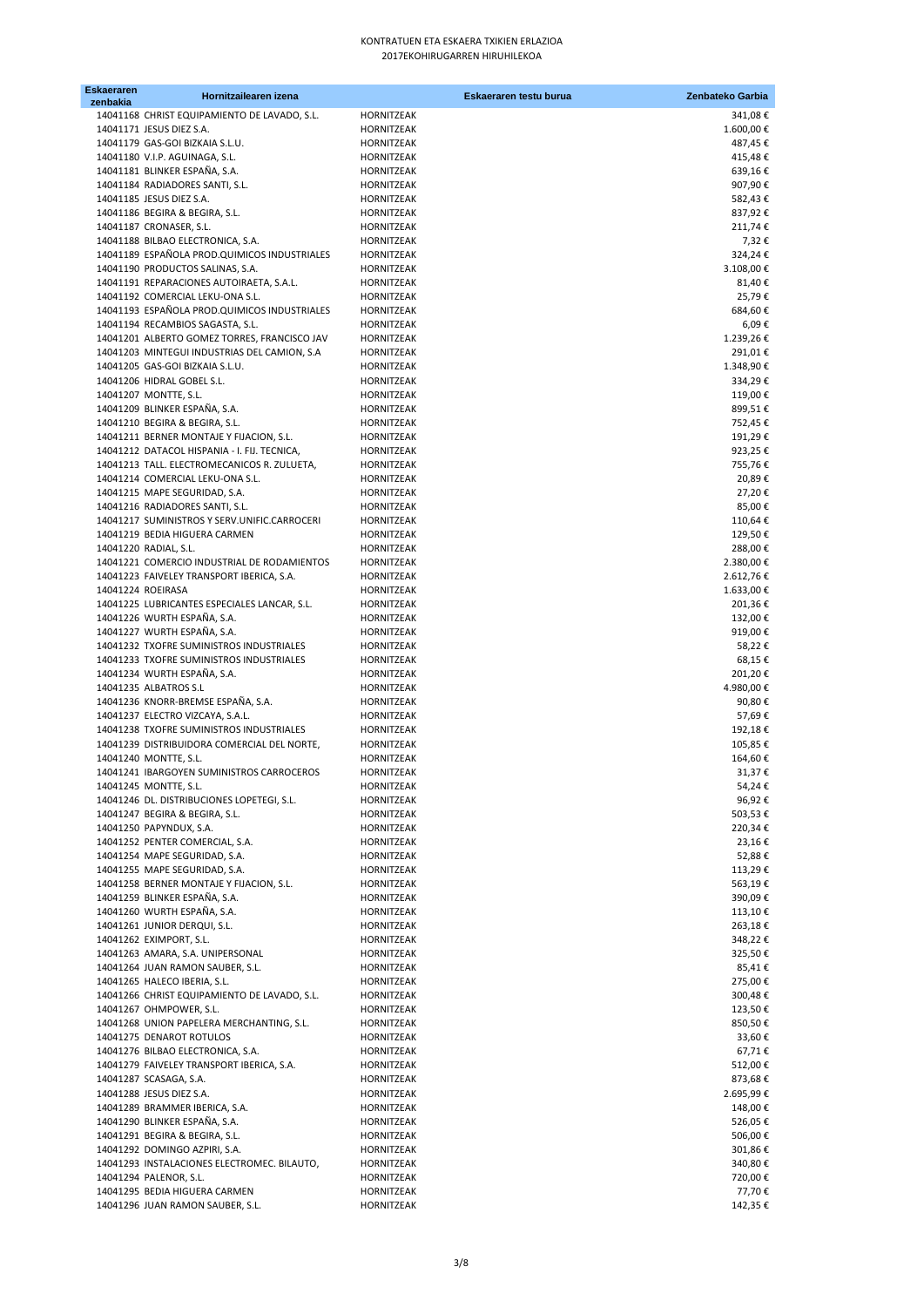| <b>Eskaeraren</b><br>zenbakia | Hornitzailearen izena                                                        | Eskaeraren testu burua   | Zenbateko Garbia   |
|-------------------------------|------------------------------------------------------------------------------|--------------------------|--------------------|
|                               | 14041168 CHRIST EQUIPAMIENTO DE LAVADO, S.L.                                 | HORNITZEAK               | 341,08€            |
|                               | 14041171 JESUS DIEZ S.A.                                                     | HORNITZEAK               | 1.600,00€          |
|                               | 14041179 GAS-GOI BIZKAIA S.L.U.                                              | HORNITZEAK               | 487,45€            |
|                               | 14041180 V.I.P. AGUINAGA, S.L.                                               | HORNITZEAK               | 415,48€            |
|                               | 14041181 BLINKER ESPAÑA, S.A.                                                | HORNITZEAK               | 639,16€            |
|                               | 14041184 RADIADORES SANTI, S.L.                                              | HORNITZEAK               | 907,90€            |
|                               | 14041185 JESUS DIEZ S.A.                                                     | HORNITZEAK               | 582,43€            |
|                               | 14041186 BEGIRA & BEGIRA, S.L.                                               | HORNITZEAK               | 837,92€            |
|                               | 14041187 CRONASER, S.L.                                                      | HORNITZEAK               | 211,74€            |
|                               | 14041188 BILBAO ELECTRONICA, S.A.                                            | HORNITZEAK               | 7,32€              |
|                               | 14041189 ESPAÑOLA PROD. QUIMICOS INDUSTRIALES                                | HORNITZEAK               | 324,24€            |
|                               | 14041190 PRODUCTOS SALINAS, S.A.<br>14041191 REPARACIONES AUTOIRAETA, S.A.L. | HORNITZEAK               | 3.108,00€          |
|                               | 14041192 COMERCIAL LEKU-ONA S.L.                                             | HORNITZEAK<br>HORNITZEAK | 81,40€<br>25,79€   |
|                               | 14041193 ESPAÑOLA PROD.QUIMICOS INDUSTRIALES                                 | HORNITZEAK               | 684,60€            |
|                               | 14041194 RECAMBIOS SAGASTA, S.L.                                             | HORNITZEAK               | 6,09€              |
|                               | 14041201 ALBERTO GOMEZ TORRES, FRANCISCO JAV                                 | HORNITZEAK               | 1.239,26€          |
|                               | 14041203 MINTEGUI INDUSTRIAS DEL CAMION, S.A                                 | HORNITZEAK               | 291,01€            |
|                               | 14041205 GAS-GOI BIZKAIA S.L.U.                                              | HORNITZEAK               | 1.348,90€          |
|                               | 14041206 HIDRAL GOBEL S.L.                                                   | HORNITZEAK               | 334,29€            |
|                               | 14041207 MONTTE, S.L.                                                        | HORNITZEAK               | 119,00€            |
|                               | 14041209 BLINKER ESPAÑA, S.A.                                                | HORNITZEAK               | 899,51€            |
|                               | 14041210 BEGIRA & BEGIRA, S.L.                                               | HORNITZEAK               | 752,45€            |
|                               | 14041211 BERNER MONTAJE Y FIJACION, S.L.                                     | HORNITZEAK               | 191,29€            |
|                               | 14041212 DATACOL HISPANIA - I. FIJ. TECNICA,                                 | HORNITZEAK               | 923,25€            |
|                               | 14041213 TALL. ELECTROMECANICOS R. ZULUETA,                                  | HORNITZEAK               | 755,76€            |
|                               | 14041214 COMERCIAL LEKU-ONA S.L.<br>14041215 MAPE SEGURIDAD, S.A.            | HORNITZEAK               | 20,89€<br>27,20€   |
|                               | 14041216 RADIADORES SANTI, S.L.                                              | HORNITZEAK<br>HORNITZEAK | 85,00€             |
|                               | 14041217 SUMINISTROS Y SERV.UNIFIC.CARROCERI                                 | HORNITZEAK               | 110,64€            |
|                               | 14041219 BEDIA HIGUERA CARMEN                                                | HORNITZEAK               | 129,50€            |
|                               | 14041220 RADIAL, S.L.                                                        | HORNITZEAK               | 288,00€            |
|                               | 14041221 COMERCIO INDUSTRIAL DE RODAMIENTOS                                  | HORNITZEAK               | 2.380,00€          |
|                               | 14041223 FAIVELEY TRANSPORT IBERICA, S.A.                                    | HORNITZEAK               | 2.612,76€          |
|                               | 14041224 ROEIRASA                                                            | HORNITZEAK               | 1.633,00€          |
|                               | 14041225 LUBRICANTES ESPECIALES LANCAR, S.L.                                 | HORNITZEAK               | 201,36€            |
|                               | 14041226 WURTH ESPAÑA, S.A.                                                  | HORNITZEAK               | 132,00€            |
|                               | 14041227 WURTH ESPAÑA, S.A.                                                  | HORNITZEAK               | 919,00€            |
|                               | 14041232 TXOFRE SUMINISTROS INDUSTRIALES                                     | HORNITZEAK               | 58,22€             |
|                               | 14041233 TXOFRE SUMINISTROS INDUSTRIALES                                     | HORNITZEAK               | 68,15€             |
|                               | 14041234 WURTH ESPAÑA, S.A.                                                  | HORNITZEAK               | 201,20€            |
|                               | 14041235 ALBATROS S.L                                                        | HORNITZEAK               | 4.980,00€          |
|                               | 14041236 KNORR-BREMSE ESPAÑA, S.A.<br>14041237 ELECTRO VIZCAYA, S.A.L.       | HORNITZEAK<br>HORNITZEAK | 90,80€<br>57,69€   |
|                               | 14041238 TXOFRE SUMINISTROS INDUSTRIALES                                     | HORNITZEAK               | 192,18€            |
|                               | 14041239 DISTRIBUIDORA COMERCIAL DEL NORTE,                                  | HORNITZEAK               | 105,85€            |
|                               | 14041240 MONTTE, S.L.                                                        | HORNITZEAK               | 164,60€            |
|                               | 14041241 IBARGOYEN SUMINISTROS CARROCEROS                                    | <b>HORNITZEAK</b>        | 31,37€             |
|                               | 14041245 MONTTE, S.L.                                                        | HORNITZEAK               | 54,24 €            |
|                               | 14041246 DL. DISTRIBUCIONES LOPETEGI, S.L.                                   | HORNITZEAK               | 96,92€             |
|                               | 14041247 BEGIRA & BEGIRA, S.L.                                               | HORNITZEAK               | 503,53€            |
|                               | 14041250 PAPYNDUX, S.A.                                                      | HORNITZEAK               | 220,34€            |
|                               | 14041252 PENTER COMERCIAL, S.A.                                              | HORNITZEAK               | 23,16€             |
|                               | 14041254 MAPE SEGURIDAD, S.A.                                                | HORNITZEAK               | 52,88€             |
|                               | 14041255 MAPE SEGURIDAD, S.A.                                                | HORNITZEAK               | 113,29€            |
|                               | 14041258 BERNER MONTAJE Y FIJACION, S.L.                                     | HORNITZEAK               | 563,19€            |
|                               | 14041259 BLINKER ESPAÑA, S.A.<br>14041260 WURTH ESPAÑA, S.A.                 | HORNITZEAK               | 390,09€            |
|                               | 14041261 JUNIOR DERQUI, S.L.                                                 | HORNITZEAK<br>HORNITZEAK | 113,10€<br>263,18€ |
|                               | 14041262 EXIMPORT, S.L.                                                      | HORNITZEAK               | 348,22€            |
|                               | 14041263 AMARA, S.A. UNIPERSONAL                                             | HORNITZEAK               | 325,50€            |
|                               | 14041264 JUAN RAMON SAUBER, S.L.                                             | HORNITZEAK               | 85,41€             |
|                               | 14041265 HALECO IBERIA, S.L.                                                 | HORNITZEAK               | 275,00€            |
|                               | 14041266 CHRIST EQUIPAMIENTO DE LAVADO, S.L.                                 | HORNITZEAK               | 300,48€            |
|                               | 14041267 OHMPOWER, S.L.                                                      | HORNITZEAK               | 123,50€            |
|                               | 14041268 UNION PAPELERA MERCHANTING, S.L.                                    | HORNITZEAK               | 850,50€            |
|                               | 14041275 DENAROT ROTULOS                                                     | HORNITZEAK               | 33,60€             |
|                               | 14041276 BILBAO ELECTRONICA, S.A.                                            | HORNITZEAK               | 67,71€             |
|                               | 14041279 FAIVELEY TRANSPORT IBERICA, S.A.                                    | HORNITZEAK               | 512,00€            |
|                               | 14041287 SCASAGA, S.A.                                                       | HORNITZEAK               | 873,68€            |
|                               | 14041288 JESUS DIEZ S.A.                                                     | HORNITZEAK               | 2.695,99€          |
|                               | 14041289 BRAMMER IBERICA, S.A.<br>14041290 BLINKER ESPAÑA, S.A.              | HORNITZEAK               | 148,00€            |
|                               | 14041291 BEGIRA & BEGIRA, S.L.                                               | HORNITZEAK<br>HORNITZEAK | 526,05€<br>506,00€ |
|                               | 14041292 DOMINGO AZPIRI, S.A.                                                | HORNITZEAK               | 301,86€            |
|                               | 14041293 INSTALACIONES ELECTROMEC. BILAUTO,                                  | HORNITZEAK               | 340,80€            |
|                               | 14041294 PALENOR, S.L.                                                       | HORNITZEAK               | 720,00€            |
|                               | 14041295 BEDIA HIGUERA CARMEN                                                | HORNITZEAK               | 77,70€             |
|                               | 14041296 JUAN RAMON SAUBER, S.L.                                             | HORNITZEAK               | 142,35€            |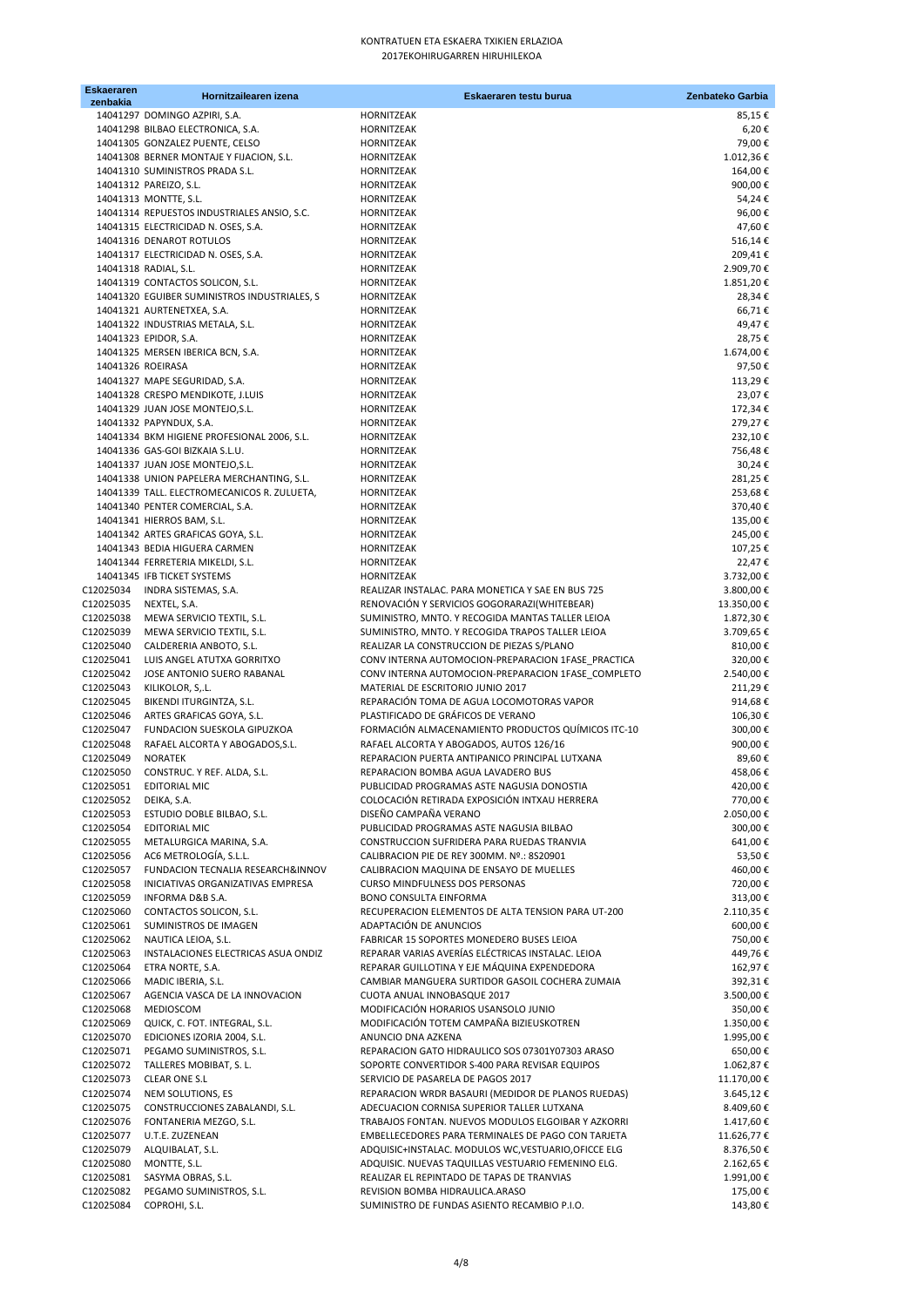| <b>Eskaeraren</b><br>zenbakia | Hornitzailearen izena                                                                    | Eskaeraren testu burua                                                                           | Zenbateko Garbia         |
|-------------------------------|------------------------------------------------------------------------------------------|--------------------------------------------------------------------------------------------------|--------------------------|
|                               | 14041297 DOMINGO AZPIRI, S.A.                                                            | HORNITZEAK                                                                                       | 85,15€                   |
|                               | 14041298 BILBAO ELECTRONICA, S.A.                                                        | HORNITZEAK                                                                                       | 6,20€                    |
|                               | 14041305 GONZALEZ PUENTE, CELSO                                                          | HORNITZEAK                                                                                       | 79,00€                   |
|                               | 14041308 BERNER MONTAJE Y FIJACION, S.L.                                                 | HORNITZEAK                                                                                       | 1.012,36€                |
|                               | 14041310 SUMINISTROS PRADA S.L.                                                          | HORNITZEAK                                                                                       | 164,00€                  |
|                               | 14041312 PAREIZO, S.L.                                                                   | HORNITZEAK                                                                                       | 900,00€                  |
|                               | 14041313 MONTTE, S.L.                                                                    | HORNITZEAK                                                                                       | 54,24€                   |
|                               | 14041314 REPUESTOS INDUSTRIALES ANSIO, S.C.                                              | HORNITZEAK                                                                                       | 96,00€                   |
|                               | 14041315 ELECTRICIDAD N. OSES, S.A.                                                      | HORNITZEAK                                                                                       | 47,60€                   |
|                               | 14041316 DENAROT ROTULOS                                                                 | <b>HORNITZEAK</b>                                                                                | 516,14€                  |
|                               | 14041317 ELECTRICIDAD N. OSES, S.A.                                                      | HORNITZEAK                                                                                       | 209,41€                  |
|                               | 14041318 RADIAL, S.L.                                                                    | HORNITZEAK                                                                                       | 2.909,70€                |
|                               | 14041319 CONTACTOS SOLICON, S.L.                                                         | HORNITZEAK                                                                                       | 1.851,20€                |
|                               | 14041320 EGUIBER SUMINISTROS INDUSTRIALES, S                                             | HORNITZEAK                                                                                       | 28,34€                   |
|                               | 14041321 AURTENETXEA, S.A.                                                               | HORNITZEAK                                                                                       | 66,71€                   |
|                               | 14041322 INDUSTRIAS METALA, S.L.                                                         | HORNITZEAK                                                                                       | 49,47€                   |
|                               | 14041323 EPIDOR, S.A.                                                                    | HORNITZEAK                                                                                       | 28,75€                   |
|                               | 14041325 MERSEN IBERICA BCN, S.A.                                                        | HORNITZEAK                                                                                       | 1.674,00€                |
| 14041326 ROEIRASA             |                                                                                          | HORNITZEAK                                                                                       | 97,50€                   |
|                               | 14041327 MAPE SEGURIDAD, S.A.                                                            | HORNITZEAK                                                                                       | 113,29€                  |
|                               | 14041328 CRESPO MENDIKOTE, J.LUIS                                                        | HORNITZEAK                                                                                       | 23,07€                   |
|                               | 14041329 JUAN JOSE MONTEJO, S.L.                                                         | HORNITZEAK                                                                                       | 172,34€                  |
|                               | 14041332 PAPYNDUX, S.A.                                                                  | HORNITZEAK                                                                                       | 279,27€                  |
|                               | 14041334 BKM HIGIENE PROFESIONAL 2006, S.L.                                              | HORNITZEAK                                                                                       | 232,10€                  |
|                               | 14041336 GAS-GOI BIZKAIA S.L.U.<br>14041337 JUAN JOSE MONTEJO, S.L.                      | HORNITZEAK                                                                                       | 756,48€                  |
|                               |                                                                                          | HORNITZEAK                                                                                       | 30,24€                   |
|                               | 14041338 UNION PAPELERA MERCHANTING, S.L.<br>14041339 TALL. ELECTROMECANICOS R. ZULUETA, | HORNITZEAK                                                                                       | 281,25€<br>253,68€       |
|                               | 14041340 PENTER COMERCIAL, S.A.                                                          | HORNITZEAK<br>HORNITZEAK                                                                         | 370,40€                  |
|                               | 14041341 HIERROS BAM, S.L.                                                               | HORNITZEAK                                                                                       | 135,00€                  |
|                               | 14041342 ARTES GRAFICAS GOYA, S.L.                                                       | HORNITZEAK                                                                                       | 245,00€                  |
|                               | 14041343 BEDIA HIGUERA CARMEN                                                            | HORNITZEAK                                                                                       | 107,25€                  |
|                               | 14041344 FERRETERIA MIKELDI, S.L.                                                        | HORNITZEAK                                                                                       | 22,47€                   |
|                               | 14041345 IFB TICKET SYSTEMS                                                              | HORNITZEAK                                                                                       | 3.732,00€                |
|                               | C12025034 INDRA SISTEMAS, S.A.                                                           | REALIZAR INSTALAC. PARA MONETICA Y SAE EN BUS 725                                                | 3.800,00€                |
| C12025035 NEXTEL, S.A.        |                                                                                          | RENOVACIÓN Y SERVICIOS GOGORARAZI(WHITEBEAR)                                                     | 13.350,00€               |
| C12025038                     | MEWA SERVICIO TEXTIL, S.L.                                                               | SUMINISTRO, MNTO. Y RECOGIDA MANTAS TALLER LEIOA                                                 | 1.872,30€                |
| C12025039                     | MEWA SERVICIO TEXTIL, S.L.                                                               | SUMINISTRO, MNTO. Y RECOGIDA TRAPOS TALLER LEIOA                                                 | 3.709,65€                |
| C12025040                     | CALDERERIA ANBOTO, S.L.                                                                  | REALIZAR LA CONSTRUCCION DE PIEZAS S/PLANO                                                       | 810,00€                  |
| C12025041                     | LUIS ANGEL ATUTXA GORRITXO                                                               | CONV INTERNA AUTOMOCION-PREPARACION 1FASE_PRACTICA                                               | 320,00€                  |
| C12025042                     | JOSE ANTONIO SUERO RABANAL                                                               | CONV INTERNA AUTOMOCION-PREPARACION 1FASE COMPLETO                                               | 2.540,00€                |
| C12025043                     | KILIKOLOR, S,.L.                                                                         | MATERIAL DE ESCRITORIO JUNIO 2017                                                                | 211,29€                  |
| C12025045                     | BIKENDI ITURGINTZA, S.L.                                                                 | REPARACIÓN TOMA DE AGUA LOCOMOTORAS VAPOR                                                        | 914,68€                  |
| C12025046                     | ARTES GRAFICAS GOYA, S.L.                                                                | PLASTIFICADO DE GRÁFICOS DE VERANO                                                               | 106,30€                  |
| C12025047                     | FUNDACION SUESKOLA GIPUZKOA                                                              | FORMACIÓN ALMACENAMIENTO PRODUCTOS QUÍMICOS ITC-10                                               | 300,00€                  |
| C12025048                     | RAFAEL ALCORTA Y ABOGADOS, S.L.                                                          | RAFAEL ALCORTA Y ABOGADOS, AUTOS 126/16                                                          | 900,00€                  |
| C12025049                     | <b>NORATEK</b>                                                                           | REPARACION PUERTA ANTIPANICO PRINCIPAL LUTXANA                                                   | 89,60€                   |
| C12025050                     | CONSTRUC. Y REF. ALDA, S.L.                                                              | REPARACION BOMBA AGUA LAVADERO BUS                                                               | 458,06€                  |
| C12025051                     | EDITORIAL MIC                                                                            | PUBLICIDAD PROGRAMAS ASTE NAGUSIA DONOSTIA                                                       | 420,00 €                 |
| C12025052                     | DEIKA, S.A.                                                                              | COLOCACIÓN RETIRADA EXPOSICIÓN INTXAU HERRERA                                                    | 770,00€                  |
| C12025053                     | ESTUDIO DOBLE BILBAO, S.L.                                                               | DISEÑO CAMPAÑA VERANO                                                                            | 2.050,00€                |
| C12025054                     | <b>EDITORIAL MIC</b>                                                                     | PUBLICIDAD PROGRAMAS ASTE NAGUSIA BILBAO                                                         | 300,00€                  |
| C12025055                     | METALURGICA MARINA, S.A.                                                                 | CONSTRUCCION SUFRIDERA PARA RUEDAS TRANVIA                                                       | 641,00€                  |
| C12025056                     | AC6 METROLOGÍA, S.L.L.                                                                   | CALIBRACION PIE DE REY 300MM. Nº.: 8S20901                                                       | 53,50€                   |
| C12025057                     | FUNDACION TECNALIA RESEARCH&INNOV                                                        | CALIBRACION MAQUINA DE ENSAYO DE MUELLES                                                         | 460,00€                  |
| C12025058                     | INICIATIVAS ORGANIZATIVAS EMPRESA                                                        | CURSO MINDFULNESS DOS PERSONAS                                                                   | 720,00€                  |
| C12025059                     | INFORMA D&B S.A.                                                                         | BONO CONSULTA EINFORMA                                                                           | 313,00€                  |
| C12025060                     | CONTACTOS SOLICON, S.L.                                                                  | RECUPERACION ELEMENTOS DE ALTA TENSION PARA UT-200                                               | 2.110,35€                |
| C12025061                     | SUMINISTROS DE IMAGEN                                                                    | ADAPTACIÓN DE ANUNCIOS                                                                           | 600,00€                  |
| C12025062                     | NAUTICA LEIOA, S.L.                                                                      | FABRICAR 15 SOPORTES MONEDERO BUSES LEIOA                                                        | 750,00€                  |
| C12025063                     | INSTALACIONES ELECTRICAS ASUA ONDIZ                                                      | REPARAR VARIAS AVERÍAS ELÉCTRICAS INSTALAC. LEIOA                                                | 449,76€                  |
| C12025064                     | ETRA NORTE, S.A.                                                                         | REPARAR GUILLOTINA Y EJE MÁQUINA EXPENDEDORA                                                     | 162,97€                  |
| C12025066                     | MADIC IBERIA, S.L.                                                                       | CAMBIAR MANGUERA SURTIDOR GASOIL COCHERA ZUMAIA                                                  | 392,31€                  |
| C12025067                     | AGENCIA VASCA DE LA INNOVACION                                                           | CUOTA ANUAL INNOBASQUE 2017                                                                      | 3.500,00€                |
| C12025068                     | MEDIOSCOM                                                                                | MODIFICACIÓN HORARIOS USANSOLO JUNIO                                                             | 350,00€                  |
| C12025069                     | QUICK, C. FOT. INTEGRAL, S.L.                                                            | MODIFICACIÓN TOTEM CAMPAÑA BIZIEUSKOTREN                                                         | 1.350,00€                |
| C12025070                     | EDICIONES IZORIA 2004, S.L.                                                              | ANUNCIO DNA AZKENA                                                                               | 1.995,00€                |
| C12025071                     | PEGAMO SUMINISTROS, S.L.                                                                 | REPARACION GATO HIDRAULICO SOS 07301Y07303 ARASO                                                 | 650,00€                  |
| C12025072                     | TALLERES MOBIBAT, S.L.                                                                   | SOPORTE CONVERTIDOR S-400 PARA REVISAR EQUIPOS                                                   | 1.062,87€                |
| C12025073                     | <b>CLEAR ONE S.L</b>                                                                     | SERVICIO DE PASARELA DE PAGOS 2017                                                               | 11.170,00€               |
| C12025074                     | NEM SOLUTIONS, ES                                                                        | REPARACION WRDR BASAURI (MEDIDOR DE PLANOS RUEDAS)                                               | 3.645,12€                |
| C12025075                     | CONSTRUCCIONES ZABALANDI, S.L.                                                           | ADECUACION CORNISA SUPERIOR TALLER LUTXANA<br>TRABAJOS FONTAN. NUEVOS MODULOS ELGOIBAR Y AZKORRI | 8.409,60€                |
| C12025076<br>C12025077        | FONTANERIA MEZGO, S.L.<br>U.T.E. ZUZENEAN                                                | EMBELLECEDORES PARA TERMINALES DE PAGO CON TARJETA                                               | 1.417,60 €<br>11.626,77€ |
| C12025079                     |                                                                                          | ADQUISIC+INSTALAC. MODULOS WC, VESTUARIO, OFICCE ELG                                             |                          |
| C12025080                     | ALQUIBALAT, S.L.<br>MONTTE, S.L.                                                         | ADQUISIC. NUEVAS TAQUILLAS VESTUARIO FEMENINO ELG.                                               | 8.376,50€<br>2.162,65€   |
| C12025081                     | SASYMA OBRAS, S.L.                                                                       | REALIZAR EL REPINTADO DE TAPAS DE TRANVIAS                                                       | 1.991,00€                |
| C12025082                     | PEGAMO SUMINISTROS, S.L.                                                                 | REVISION BOMBA HIDRAULICA.ARASO                                                                  | 175,00€                  |
| C12025084                     | COPROHI, S.L.                                                                            | SUMINISTRO DE FUNDAS ASIENTO RECAMBIO P.I.O.                                                     | 143,80€                  |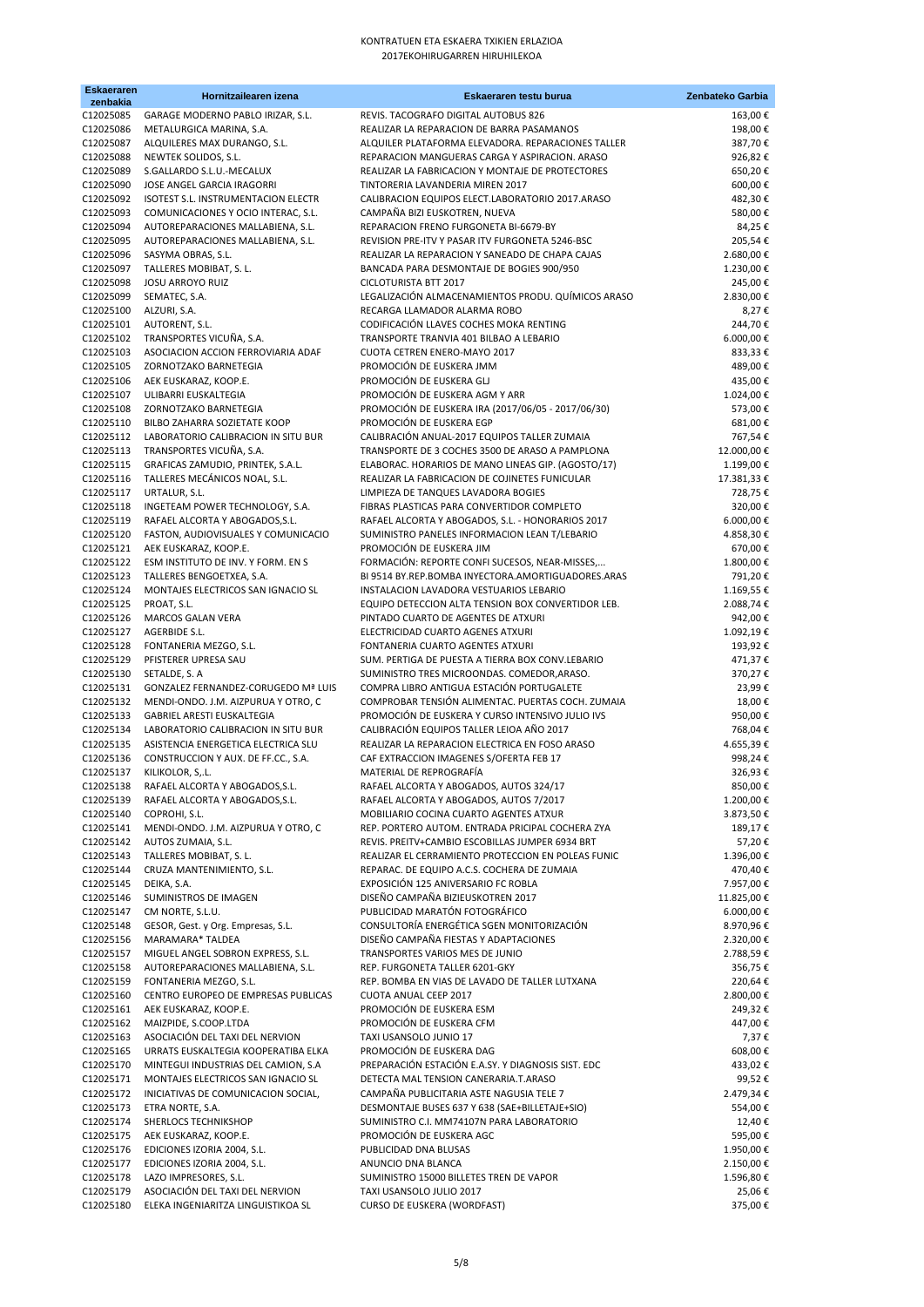| Eskaeraren<br>zenbakia | Hornitzailearen izena                                                      | Eskaeraren testu burua                                                                              | Zenbateko Garbia            |
|------------------------|----------------------------------------------------------------------------|-----------------------------------------------------------------------------------------------------|-----------------------------|
| C12025085              | GARAGE MODERNO PABLO IRIZAR, S.L.                                          | REVIS. TACOGRAFO DIGITAL AUTOBUS 826                                                                | 163,00€                     |
| C12025086              | METALURGICA MARINA, S.A.                                                   | REALIZAR LA REPARACION DE BARRA PASAMANOS                                                           | 198,00€                     |
| C12025087              | ALQUILERES MAX DURANGO, S.L.                                               | ALQUILER PLATAFORMA ELEVADORA. REPARACIONES TALLER                                                  | 387,70€                     |
| C12025088              | NEWTEK SOLIDOS, S.L.                                                       | REPARACION MANGUERAS CARGA Y ASPIRACION. ARASO                                                      | 926,82€                     |
| C12025089              | S.GALLARDO S.L.U.-MECALUX                                                  | REALIZAR LA FABRICACION Y MONTAJE DE PROTECTORES                                                    | 650,20€                     |
| C12025090<br>C12025092 | JOSE ANGEL GARCIA IRAGORRI<br>ISOTEST S.L. INSTRUMENTACION ELECTR          | TINTORERIA LAVANDERIA MIREN 2017<br>CALIBRACION EQUIPOS ELECT.LABORATORIO 2017.ARASO                | 600,00€<br>482,30€          |
| C12025093              | COMUNICACIONES Y OCIO INTERAC, S.L.                                        | CAMPAÑA BIZI EUSKOTREN, NUEVA                                                                       | 580,00€                     |
| C12025094              | AUTOREPARACIONES MALLABIENA, S.L.                                          | REPARACION FRENO FURGONETA BI-6679-BY                                                               | 84,25€                      |
| C12025095              | AUTOREPARACIONES MALLABIENA, S.L.                                          | REVISION PRE-ITV Y PASAR ITV FURGONETA 5246-BSC                                                     | 205,54€                     |
| C12025096              | SASYMA OBRAS, S.L.                                                         | REALIZAR LA REPARACION Y SANEADO DE CHAPA CAJAS                                                     | 2.680,00€                   |
| C12025097              | TALLERES MOBIBAT, S.L.                                                     | BANCADA PARA DESMONTAJE DE BOGIES 900/950                                                           | 1.230,00€                   |
| C12025098<br>C12025099 | <b>JOSU ARROYO RUIZ</b><br>SEMATEC, S.A.                                   | CICLOTURISTA BTT 2017<br>LEGALIZACIÓN ALMACENAMIENTOS PRODU. QUÍMICOS ARASO                         | 245,00€<br>2.830,00€        |
| C12025100              | ALZURI, S.A.                                                               | RECARGA LLAMADOR ALARMA ROBO                                                                        | 8,27€                       |
| C12025101              | AUTORENT, S.L.                                                             | CODIFICACIÓN LLAVES COCHES MOKA RENTING                                                             | 244,70€                     |
| C12025102              | TRANSPORTES VICUÑA, S.A.                                                   | TRANSPORTE TRANVIA 401 BILBAO A LEBARIO                                                             | 6.000,00€                   |
| C12025103              | ASOCIACION ACCION FERROVIARIA ADAF                                         | CUOTA CETREN ENERO-MAYO 2017                                                                        | 833,33€                     |
| C12025105              | ZORNOTZAKO BARNETEGIA                                                      | PROMOCIÓN DE EUSKERA JMM                                                                            | 489,00€                     |
| C12025106<br>C12025107 | AEK EUSKARAZ, KOOP.E.<br>ULIBARRI EUSKALTEGIA                              | PROMOCIÓN DE EUSKERA GLJ<br>PROMOCIÓN DE EUSKERA AGM Y ARR                                          | 435,00€<br>1.024,00€        |
| C12025108              | ZORNOTZAKO BARNETEGIA                                                      | PROMOCIÓN DE EUSKERA IRA (2017/06/05 - 2017/06/30)                                                  | 573,00€                     |
| C12025110              | BILBO ZAHARRA SOZIETATE KOOP                                               | PROMOCIÓN DE EUSKERA EGP                                                                            | 681,00€                     |
| C12025112              | LABORATORIO CALIBRACION IN SITU BUR                                        | CALIBRACIÓN ANUAL-2017 EQUIPOS TALLER ZUMAIA                                                        | 767,54€                     |
| C12025113              | TRANSPORTES VICUÑA, S.A.                                                   | TRANSPORTE DE 3 COCHES 3500 DE ARASO A PAMPLONA                                                     | 12.000,00€                  |
| C12025115              | GRAFICAS ZAMUDIO, PRINTEK, S.A.L.                                          | ELABORAC. HORARIOS DE MANO LINEAS GIP. (AGOSTO/17)                                                  | 1.199,00€                   |
| C12025116<br>C12025117 | TALLERES MECÁNICOS NOAL, S.L.<br>URTALUR, S.L.                             | REALIZAR LA FABRICACION DE COJINETES FUNICULAR<br>LIMPIEZA DE TANQUES LAVADORA BOGIES               | 17.381,33 €<br>728,75€      |
| C12025118              | INGETEAM POWER TECHNOLOGY, S.A.                                            | FIBRAS PLASTICAS PARA CONVERTIDOR COMPLETO                                                          | 320,00€                     |
| C12025119              | RAFAEL ALCORTA Y ABOGADOS, S.L.                                            | RAFAEL ALCORTA Y ABOGADOS, S.L. - HONORARIOS 2017                                                   | 6.000,00€                   |
| C12025120              | FASTON, AUDIOVISUALES Y COMUNICACIO                                        | SUMINISTRO PANELES INFORMACION LEAN T/LEBARIO                                                       | 4.858,30€                   |
| C12025121              | AEK EUSKARAZ, KOOP.E.                                                      | PROMOCIÓN DE EUSKERA JIM                                                                            | 670,00€                     |
| C12025122              | ESM INSTITUTO DE INV. Y FORM. EN S                                         | FORMACIÓN: REPORTE CONFI SUCESOS, NEAR-MISSES,                                                      | 1.800,00€                   |
| C12025123<br>C12025124 | TALLERES BENGOETXEA, S.A.<br>MONTAJES ELECTRICOS SAN IGNACIO SL            | BI 9514 BY.REP.BOMBA INYECTORA.AMORTIGUADORES.ARAS<br>INSTALACION LAVADORA VESTUARIOS LEBARIO       | 791,20€<br>1.169,55€        |
| C12025125              | PROAT, S.L.                                                                | EQUIPO DETECCION ALTA TENSION BOX CONVERTIDOR LEB.                                                  | 2.088,74€                   |
| C12025126              | MARCOS GALAN VERA                                                          | PINTADO CUARTO DE AGENTES DE ATXURI                                                                 | 942,00€                     |
| C12025127              | AGERBIDE S.L.                                                              | ELECTRICIDAD CUARTO AGENES ATXURI                                                                   | 1.092,19€                   |
| C12025128              | FONTANERIA MEZGO, S.L.                                                     | FONTANERIA CUARTO AGENTES ATXURI                                                                    | 193,92€                     |
| C12025129<br>C12025130 | PFISTERER UPRESA SAU<br>SETALDE, S. A                                      | SUM. PERTIGA DE PUESTA A TIERRA BOX CONV.LEBARIO<br>SUMINISTRO TRES MICROONDAS. COMEDOR, ARASO.     | 471,37€<br>370,27€          |
| C12025131              | <b>GONZALEZ FERNANDEZ-CORUGEDO Mª LUIS</b>                                 | COMPRA LIBRO ANTIGUA ESTACIÓN PORTUGALETE                                                           | 23,99€                      |
| C12025132              | MENDI-ONDO. J.M. AIZPURUA Y OTRO, C                                        | COMPROBAR TENSIÓN ALIMENTAC. PUERTAS COCH. ZUMAIA                                                   | 18,00€                      |
| C12025133              | <b>GABRIEL ARESTI EUSKALTEGIA</b>                                          | PROMOCIÓN DE EUSKERA Y CURSO INTENSIVO JULIO IVS                                                    | 950,00€                     |
| C12025134<br>C12025135 | LABORATORIO CALIBRACION IN SITU BUR<br>ASISTENCIA ENERGETICA ELECTRICA SLU | CALIBRACIÓN EQUIPOS TALLER LEIOA AÑO 2017<br>REALIZAR LA REPARACION ELECTRICA EN FOSO ARASO         | 768,04€<br>4.655,39€        |
| C12025136              | CONSTRUCCION Y AUX. DE FF.CC., S.A.                                        | CAF EXTRACCION IMAGENES S/OFERTA FEB 17                                                             | 998,24€                     |
| C12025137              | KILIKOLOR, S, .L.                                                          | MATERIAL DE REPROGRAFÍA                                                                             | 326,93€                     |
| C12025138              | RAFAEL ALCORTA Y ABOGADOS, S.L.                                            | RAFAEL ALCORTA Y ABOGADOS, AUTOS 324/17                                                             | 850,00€                     |
| C12025139              | RAFAEL ALCORTA Y ABOGADOS, S.L.                                            | RAFAEL ALCORTA Y ABOGADOS, AUTOS 7/2017                                                             | 1.200,00€                   |
| C12025140              | COPROHI, S.L.<br>MENDI-ONDO. J.M. AIZPURUA Y OTRO, C                       | MOBILIARIO COCINA CUARTO AGENTES ATXUR                                                              | 3.873,50€                   |
| C12025141<br>C12025142 | AUTOS ZUMAIA, S.L.                                                         | REP. PORTERO AUTOM. ENTRADA PRICIPAL COCHERA ZYA<br>REVIS. PREITV+CAMBIO ESCOBILLAS JUMPER 6934 BRT | 189,17€<br>57,20€           |
| C12025143              | TALLERES MOBIBAT, S.L.                                                     | REALIZAR EL CERRAMIENTO PROTECCION EN POLEAS FUNIC                                                  | 1.396,00€                   |
| C12025144              | CRUZA MANTENIMIENTO, S.L.                                                  | REPARAC. DE EQUIPO A.C.S. COCHERA DE ZUMAIA                                                         | 470,40€                     |
| C12025145              | DEIKA, S.A.                                                                | EXPOSICIÓN 125 ANIVERSARIO FC ROBLA                                                                 | 7.957,00€                   |
| C12025146              | SUMINISTROS DE IMAGEN                                                      | DISEÑO CAMPAÑA BIZIEUSKOTREN 2017                                                                   | 11.825,00€                  |
| C12025147<br>C12025148 | CM NORTE, S.L.U.<br>GESOR, Gest. y Org. Empresas, S.L.                     | PUBLICIDAD MARATÓN FOTOGRÁFICO<br>CONSULTORÍA ENERGÉTICA SGEN MONITORIZACIÓN                        | $6.000,00 \in$<br>8.970,96€ |
| C12025156              | MARAMARA* TALDEA                                                           | DISEÑO CAMPAÑA FIESTAS Y ADAPTACIONES                                                               | 2.320,00€                   |
| C12025157              | MIGUEL ANGEL SOBRON EXPRESS, S.L.                                          | TRANSPORTES VARIOS MES DE JUNIO                                                                     | 2.788,59€                   |
| C12025158              | AUTOREPARACIONES MALLABIENA, S.L.                                          | REP. FURGONETA TALLER 6201-GKY                                                                      | 356,75€                     |
| C12025159              | FONTANERIA MEZGO, S.L.                                                     | REP. BOMBA EN VIAS DE LAVADO DE TALLER LUTXANA                                                      | 220,64€                     |
| C12025160              | CENTRO EUROPEO DE EMPRESAS PUBLICAS                                        | CUOTA ANUAL CEEP 2017                                                                               | 2.800,00€                   |
| C12025161<br>C12025162 | AEK EUSKARAZ, KOOP.E.<br>MAIZPIDE, S.COOP.LTDA                             | PROMOCIÓN DE EUSKERA ESM<br>PROMOCIÓN DE EUSKERA CFM                                                | 249,32€<br>447,00€          |
| C12025163              | ASOCIACIÓN DEL TAXI DEL NERVION                                            | TAXI USANSOLO JUNIO 17                                                                              | 7,37€                       |
| C12025165              | URRATS EUSKALTEGIA KOOPERATIBA ELKA                                        | PROMOCIÓN DE EUSKERA DAG                                                                            | 608,00€                     |
| C12025170              | MINTEGUI INDUSTRIAS DEL CAMION, S.A                                        | PREPARACIÓN ESTACIÓN E.A.SY. Y DIAGNOSIS SIST. EDC                                                  | 433,02€                     |
| C12025171              | MONTAJES ELECTRICOS SAN IGNACIO SL                                         | DETECTA MAL TENSION CANERARIA.T.ARASO                                                               | 99,52€                      |
| C12025172<br>C12025173 | INICIATIVAS DE COMUNICACION SOCIAL,<br>ETRA NORTE, S.A.                    | CAMPAÑA PUBLICITARIA ASTE NAGUSIA TELE 7<br>DESMONTAJE BUSES 637 Y 638 (SAE+BILLETAJE+SIO)          | 2.479,34 €<br>554,00€       |
| C12025174              | SHERLOCS TECHNIKSHOP                                                       | SUMINISTRO C.I. MM74107N PARA LABORATORIO                                                           | 12,40€                      |
| C12025175              | AEK EUSKARAZ, KOOP.E.                                                      | PROMOCIÓN DE EUSKERA AGC                                                                            | 595,00€                     |
| C12025176              | EDICIONES IZORIA 2004, S.L.                                                | PUBLICIDAD DNA BLUSAS                                                                               | 1.950,00€                   |
| C12025177              | EDICIONES IZORIA 2004, S.L.                                                | ANUNCIO DNA BLANCA                                                                                  | 2.150,00€                   |
| C12025178              | LAZO IMPRESORES, S.L.<br>ASOCIACIÓN DEL TAXI DEL NERVION                   | SUMINISTRO 15000 BILLETES TREN DE VAPOR                                                             | 1.596,80€                   |
| C12025179<br>C12025180 | ELEKA INGENIARITZA LINGUISTIKOA SL                                         | TAXI USANSOLO JULIO 2017<br>CURSO DE EUSKERA (WORDFAST)                                             | 25,06€<br>375,00€           |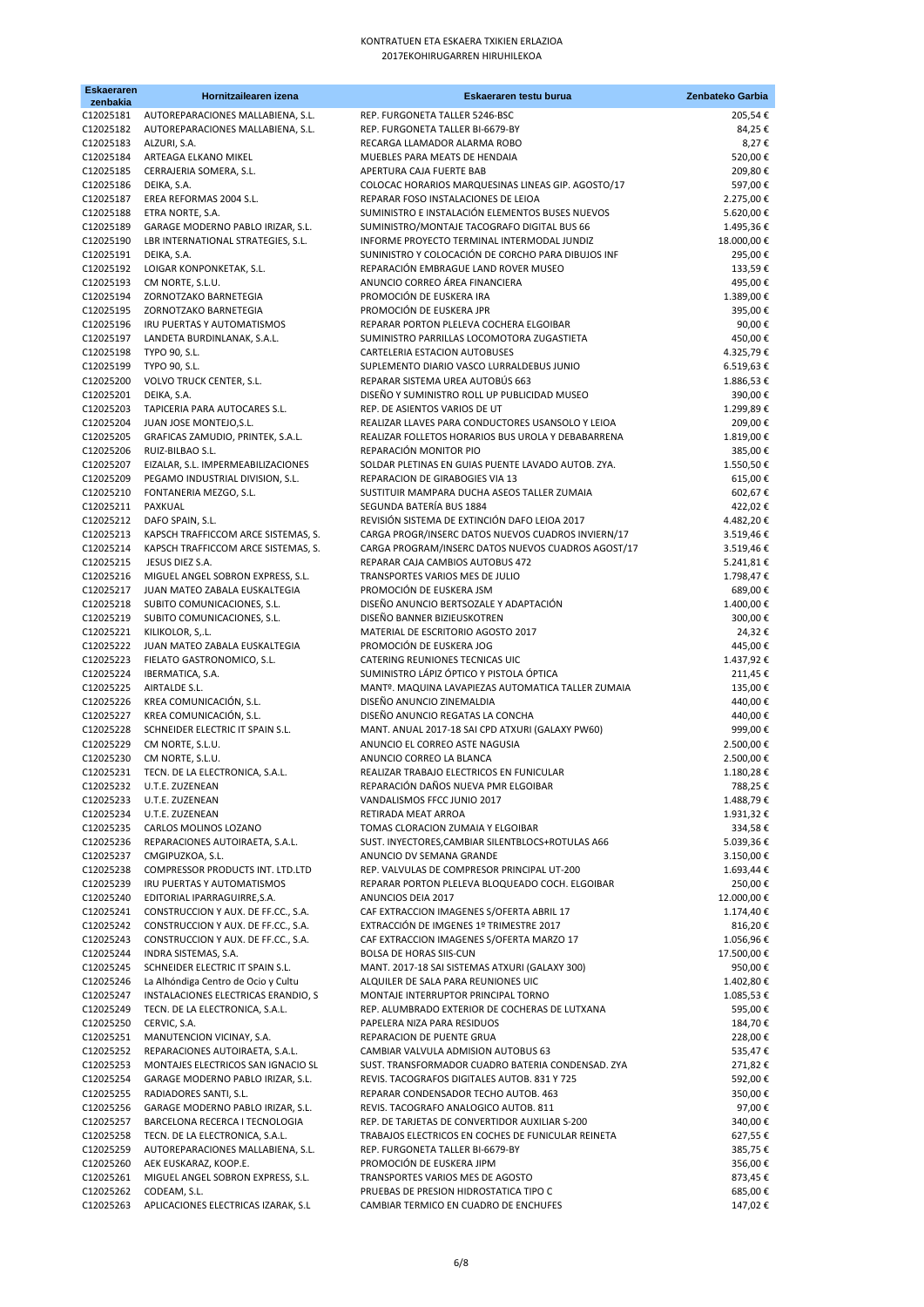| <b>Eskaeraren</b><br>zenbakia | Hornitzailearen izena                                                      | Eskaeraren testu burua                                                                     | Zenbateko Garbia       |
|-------------------------------|----------------------------------------------------------------------------|--------------------------------------------------------------------------------------------|------------------------|
| C12025181                     | AUTOREPARACIONES MALLABIENA, S.L.                                          | REP. FURGONETA TALLER 5246-BSC                                                             | 205,54€                |
| C12025182                     | AUTOREPARACIONES MALLABIENA, S.L.                                          | REP. FURGONETA TALLER BI-6679-BY                                                           | 84,25€                 |
| C12025183                     | ALZURI, S.A.                                                               | RECARGA LLAMADOR ALARMA ROBO                                                               | 8,27€                  |
| C12025184<br>C12025185        | ARTEAGA ELKANO MIKEL<br>CERRAJERIA SOMERA, S.L.                            | MUEBLES PARA MEATS DE HENDAIA<br>APERTURA CAJA FUERTE BAB                                  | 520,00€<br>209,80€     |
| C12025186                     | DEIKA, S.A.                                                                | COLOCAC HORARIOS MARQUESINAS LINEAS GIP. AGOSTO/17                                         | 597,00€                |
| C12025187                     | EREA REFORMAS 2004 S.L.                                                    | REPARAR FOSO INSTALACIONES DE LEIOA                                                        | 2.275,00€              |
| C12025188                     | ETRA NORTE, S.A.                                                           | SUMINISTRO E INSTALACIÓN ELEMENTOS BUSES NUEVOS                                            | 5.620,00€              |
| C12025189                     | GARAGE MODERNO PABLO IRIZAR, S.L.                                          | SUMINISTRO/MONTAJE TACOGRAFO DIGITAL BUS 66                                                | 1.495,36€              |
| C12025190                     | LBR INTERNATIONAL STRATEGIES, S.L.                                         | INFORME PROYECTO TERMINAL INTERMODAL JUNDIZ                                                | 18.000,00€             |
| C12025191<br>C12025192        | DEIKA, S.A.<br>LOIGAR KONPONKETAK, S.L.                                    | SUNINISTRO Y COLOCACIÓN DE CORCHO PARA DIBUJOS INF<br>REPARACIÓN EMBRAGUE LAND ROVER MUSEO | 295,00€<br>133,59€     |
| C12025193                     | CM NORTE, S.L.U.                                                           | ANUNCIO CORREO ÁREA FINANCIERA                                                             | 495,00€                |
| C12025194                     | ZORNOTZAKO BARNETEGIA                                                      | PROMOCIÓN DE EUSKERA IRA                                                                   | 1.389,00€              |
| C12025195                     | ZORNOTZAKO BARNETEGIA                                                      | PROMOCIÓN DE EUSKERA JPR                                                                   | 395,00€                |
| C12025196                     | IRU PUERTAS Y AUTOMATISMOS                                                 | REPARAR PORTON PLELEVA COCHERA ELGOIBAR                                                    | 90,00€                 |
| C12025197                     | LANDETA BURDINLANAK, S.A.L.                                                | SUMINISTRO PARRILLAS LOCOMOTORA ZUGASTIETA                                                 | 450,00€                |
| C12025198<br>C12025199        | TYPO 90, S.L.<br>TYPO 90, S.L.                                             | CARTELERIA ESTACION AUTOBUSES<br>SUPLEMENTO DIARIO VASCO LURRALDEBUS JUNIO                 | 4.325,79€<br>6.519,63€ |
| C12025200                     | VOLVO TRUCK CENTER, S.L.                                                   | REPARAR SISTEMA UREA AUTOBÚS 663                                                           | 1.886,53€              |
| C12025201                     | DEIKA, S.A.                                                                | DISEÑO Y SUMINISTRO ROLL UP PUBLICIDAD MUSEO                                               | 390,00€                |
| C12025203                     | TAPICERIA PARA AUTOCARES S.L.                                              | REP. DE ASIENTOS VARIOS DE UT                                                              | 1.299,89€              |
| C12025204                     | JUAN JOSE MONTEJO, S.L.                                                    | REALIZAR LLAVES PARA CONDUCTORES USANSOLO Y LEIOA                                          | 209,00€                |
| C12025205                     | GRAFICAS ZAMUDIO, PRINTEK, S.A.L.                                          | REALIZAR FOLLETOS HORARIOS BUS UROLA Y DEBABARRENA                                         | 1.819,00€              |
| C12025206<br>C12025207        | RUIZ-BILBAO S.L.<br>EIZALAR, S.L. IMPERMEABILIZACIONES                     | REPARACIÓN MONITOR PIO<br>SOLDAR PLETINAS EN GUIAS PUENTE LAVADO AUTOB. ZYA.               | 385,00€<br>1.550,50€   |
| C12025209                     | PEGAMO INDUSTRIAL DIVISION, S.L.                                           | REPARACION DE GIRABOGIES VIA 13                                                            | 615,00€                |
| C12025210                     | FONTANERIA MEZGO, S.L.                                                     | SUSTITUIR MAMPARA DUCHA ASEOS TALLER ZUMAIA                                                | 602,67€                |
| C12025211                     | PAXKUAL                                                                    | SEGUNDA BATERÍA BUS 1884                                                                   | 422,02€                |
| C12025212                     | DAFO SPAIN, S.L.                                                           | REVISIÓN SISTEMA DE EXTINCIÓN DAFO LEIOA 2017                                              | 4.482,20€              |
| C12025213                     | KAPSCH TRAFFICCOM ARCE SISTEMAS, S.                                        | CARGA PROGR/INSERC DATOS NUEVOS CUADROS INVIERN/17                                         | 3.519,46€              |
| C12025214<br>C12025215        | KAPSCH TRAFFICCOM ARCE SISTEMAS, S.<br>JESUS DIEZ S.A.                     | CARGA PROGRAM/INSERC DATOS NUEVOS CUADROS AGOST/17<br>REPARAR CAJA CAMBIOS AUTOBUS 472     | 3.519,46€              |
| C12025216                     | MIGUEL ANGEL SOBRON EXPRESS, S.L.                                          | TRANSPORTES VARIOS MES DE JULIO                                                            | 5.241,81€<br>1.798,47€ |
| C12025217                     | JUAN MATEO ZABALA EUSKALTEGIA                                              | PROMOCIÓN DE EUSKERA JSM                                                                   | 689,00€                |
| C12025218                     | SUBITO COMUNICACIONES, S.L.                                                | DISEÑO ANUNCIO BERTSOZALE Y ADAPTACIÓN                                                     | 1.400,00€              |
| C12025219                     | SUBITO COMUNICACIONES, S.L.                                                | DISEÑO BANNER BIZIEUSKOTREN                                                                | 300,00€                |
| C12025221                     | KILIKOLOR, S,.L.                                                           | MATERIAL DE ESCRITORIO AGOSTO 2017                                                         | 24,32€                 |
| C12025222<br>C12025223        | JUAN MATEO ZABALA EUSKALTEGIA<br>FIELATO GASTRONOMICO, S.L.                | PROMOCIÓN DE EUSKERA JOG<br>CATERING REUNIONES TECNICAS UIC                                | 445,00€<br>1.437,92€   |
| C12025224                     | IBERMATICA, S.A.                                                           | SUMINISTRO LÁPIZ ÓPTICO Y PISTOLA ÓPTICA                                                   | 211,45€                |
| C12025225                     | AIRTALDE S.L.                                                              | MANTº. MAQUINA LAVAPIEZAS AUTOMATICA TALLER ZUMAIA                                         | 135,00€                |
| C12025226                     | KREA COMUNICACIÓN, S.L.                                                    | DISEÑO ANUNCIO ZINEMALDIA                                                                  | 440,00€                |
| C12025227                     | KREA COMUNICACIÓN, S.L.                                                    | DISEÑO ANUNCIO REGATAS LA CONCHA                                                           | 440,00€                |
| C12025228<br>C12025229        | SCHNEIDER ELECTRIC IT SPAIN S.L.                                           | MANT. ANUAL 2017-18 SAI CPD ATXURI (GALAXY PW60)                                           | 999,00€                |
| C12025230                     | CM NORTE, S.L.U.<br>CM NORTE, S.L.U.                                       | ANUNCIO EL CORREO ASTE NAGUSIA<br>ANUNCIO CORREO LA BLANCA                                 | 2.500,00€<br>2.500,00€ |
| C12025231                     | TECN. DE LA ELECTRONICA, S.A.L.                                            | REALIZAR TRABAJO ELECTRICOS EN FUNICULAR                                                   | 1.180,28€              |
| C12025232                     | U.T.E. ZUZENEAN                                                            | REPARACIÓN DAÑOS NUEVA PMR ELGOIBAR                                                        | 788,25 €               |
| C12025233                     | U.T.E. ZUZENEAN                                                            | VANDALISMOS FFCC JUNIO 2017                                                                | 1.488,79€              |
| C12025234                     | U.T.E. ZUZENEAN                                                            | RETIRADA MEAT ARROA                                                                        | 1.931,32€              |
| C12025235<br>C12025236        | CARLOS MOLINOS LOZANO<br>REPARACIONES AUTOIRAETA, S.A.L.                   | TOMAS CLORACION ZUMAIA Y ELGOIBAR<br>SUST. INYECTORES, CAMBIAR SILENTBLOCS+ROTULAS A66     | 334,58€<br>5.039,36€   |
| C12025237                     | CMGIPUZKOA, S.L.                                                           | ANUNCIO DV SEMANA GRANDE                                                                   | 3.150,00€              |
| C12025238                     | COMPRESSOR PRODUCTS INT. LTD.LTD                                           | REP. VALVULAS DE COMPRESOR PRINCIPAL UT-200                                                | 1.693,44 €             |
| C12025239                     | IRU PUERTAS Y AUTOMATISMOS                                                 | REPARAR PORTON PLELEVA BLOQUEADO COCH. ELGOIBAR                                            | 250,00€                |
| C12025240                     | EDITORIAL IPARRAGUIRRE, S.A.                                               | ANUNCIOS DEIA 2017                                                                         | 12.000,00€             |
| C12025241                     | CONSTRUCCION Y AUX. DE FF.CC., S.A.                                        | CAF EXTRACCION IMAGENES S/OFERTA ABRIL 17<br>EXTRACCIÓN DE IMGENES 1º TRIMESTRE 2017       | 1.174,40€              |
| C12025242<br>C12025243        | CONSTRUCCION Y AUX. DE FF.CC., S.A.<br>CONSTRUCCION Y AUX. DE FF.CC., S.A. | CAF EXTRACCION IMAGENES S/OFERTA MARZO 17                                                  | 816,20€<br>1.056,96€   |
| C12025244                     | INDRA SISTEMAS, S.A.                                                       | BOLSA DE HORAS SIIS-CUN                                                                    | 17.500,00 €            |
| C12025245                     | SCHNEIDER ELECTRIC IT SPAIN S.L.                                           | MANT. 2017-18 SAI SISTEMAS ATXURI (GALAXY 300)                                             | 950,00€                |
| C12025246                     | La Alhóndiga Centro de Ocio y Cultu                                        | ALQUILER DE SALA PARA REUNIONES UIC                                                        | 1.402,80€              |
| C12025247                     | INSTALACIONES ELECTRICAS ERANDIO, S                                        | MONTAJE INTERRUPTOR PRINCIPAL TORNO                                                        | 1.085,53€              |
| C12025249<br>C12025250        | TECN. DE LA ELECTRONICA, S.A.L.<br>CERVIC, S.A.                            | REP. ALUMBRADO EXTERIOR DE COCHERAS DE LUTXANA<br>PAPELERA NIZA PARA RESIDUOS              | 595,00€<br>184,70€     |
| C12025251                     | MANUTENCION VICINAY, S.A.                                                  | REPARACION DE PUENTE GRUA                                                                  | 228,00€                |
| C12025252                     | REPARACIONES AUTOIRAETA, S.A.L.                                            | CAMBIAR VALVULA ADMISION AUTOBUS 63                                                        | 535,47€                |
| C12025253                     | MONTAJES ELECTRICOS SAN IGNACIO SL                                         | SUST. TRANSFORMADOR CUADRO BATERIA CONDENSAD. ZYA                                          | 271,82€                |
| C12025254                     | GARAGE MODERNO PABLO IRIZAR, S.L.                                          | REVIS. TACOGRAFOS DIGITALES AUTOB. 831 Y 725                                               | 592,00€                |
| C12025255                     | RADIADORES SANTI, S.L.                                                     | REPARAR CONDENSADOR TECHO AUTOB. 463                                                       | 350,00€                |
| C12025256<br>C12025257        | GARAGE MODERNO PABLO IRIZAR, S.L.<br>BARCELONA RECERCA I TECNOLOGIA        | REVIS. TACOGRAFO ANALOGICO AUTOB. 811<br>REP. DE TARJETAS DE CONVERTIDOR AUXILIAR S-200    | 97,00€<br>340,00€      |
| C12025258                     | TECN. DE LA ELECTRONICA, S.A.L.                                            | TRABAJOS ELECTRICOS EN COCHES DE FUNICULAR REINETA                                         | 627,55€                |
| C12025259                     | AUTOREPARACIONES MALLABIENA, S.L.                                          | REP. FURGONETA TALLER BI-6679-BY                                                           | 385,75€                |
| C12025260                     | AEK EUSKARAZ, KOOP.E.                                                      | PROMOCIÓN DE EUSKERA JIPM                                                                  | 356,00€                |
| C12025261                     | MIGUEL ANGEL SOBRON EXPRESS, S.L.                                          | TRANSPORTES VARIOS MES DE AGOSTO                                                           | 873,45€                |
| C12025262<br>C12025263        | CODEAM, S.L.<br>APLICACIONES ELECTRICAS IZARAK, S.L                        | PRUEBAS DE PRESION HIDROSTATICA TIPO C<br>CAMBIAR TERMICO EN CUADRO DE ENCHUFES            | 685,00€<br>147,02€     |
|                               |                                                                            |                                                                                            |                        |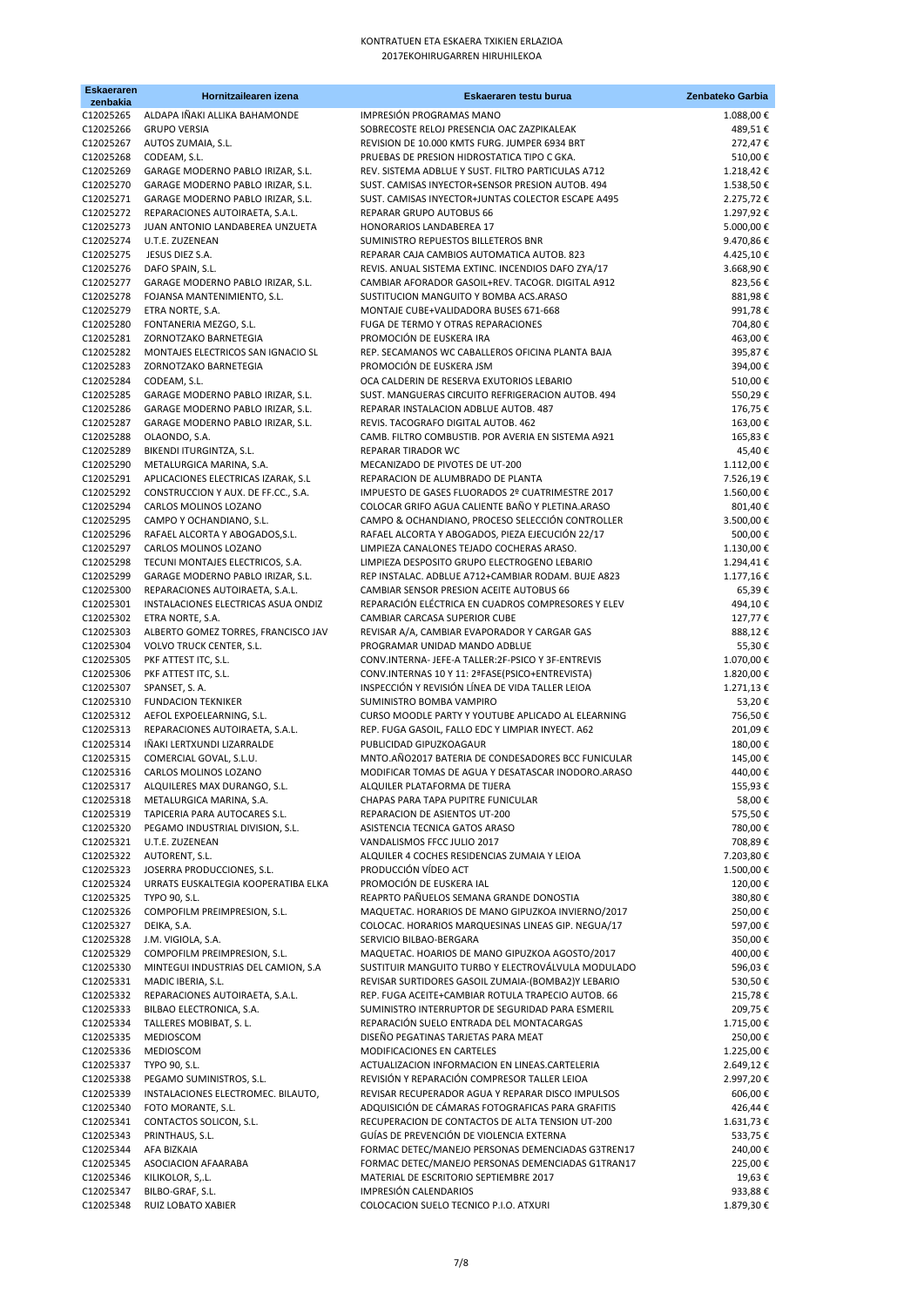| <b>Eskaeraren</b><br>zenbakia | Hornitzailearen izena                                                  | Eskaeraren testu burua                                                                                   | Zenbateko Garbia       |
|-------------------------------|------------------------------------------------------------------------|----------------------------------------------------------------------------------------------------------|------------------------|
| C12025265                     | ALDAPA IÑAKI ALLIKA BAHAMONDE                                          | IMPRESIÓN PROGRAMAS MANO                                                                                 | 1.088,00 €             |
| C12025266                     | <b>GRUPO VERSIA</b>                                                    | SOBRECOSTE RELOJ PRESENCIA OAC ZAZPIKALEAK                                                               | 489,51€                |
| C12025267                     | AUTOS ZUMAIA, S.L.                                                     | REVISION DE 10.000 KMTS FURG. JUMPER 6934 BRT                                                            | 272,47€                |
| C12025268                     | CODEAM, S.L.<br>GARAGE MODERNO PABLO IRIZAR, S.L.                      | PRUEBAS DE PRESION HIDROSTATICA TIPO C GKA.<br>REV. SISTEMA ADBLUE Y SUST. FILTRO PARTICULAS A712        | 510,00€                |
| C12025269<br>C12025270        | GARAGE MODERNO PABLO IRIZAR, S.L.                                      | SUST. CAMISAS INYECTOR+SENSOR PRESION AUTOB. 494                                                         | 1.218,42€<br>1.538,50€ |
| C12025271                     | GARAGE MODERNO PABLO IRIZAR, S.L.                                      | SUST. CAMISAS INYECTOR+JUNTAS COLECTOR ESCAPE A495                                                       | 2.275,72€              |
| C12025272                     | REPARACIONES AUTOIRAETA, S.A.L.                                        | REPARAR GRUPO AUTOBUS 66                                                                                 | 1.297,92€              |
| C12025273                     | JUAN ANTONIO LANDABEREA UNZUETA                                        | HONORARIOS LANDABEREA 17                                                                                 | 5.000,00€              |
| C12025274                     | U.T.E. ZUZENEAN                                                        | SUMINISTRO REPUESTOS BILLETEROS BNR                                                                      | 9.470,86€              |
| C12025275<br>C12025276        | JESUS DIEZ S.A.<br>DAFO SPAIN, S.L.                                    | REPARAR CAJA CAMBIOS AUTOMATICA AUTOB. 823<br>REVIS. ANUAL SISTEMA EXTINC. INCENDIOS DAFO ZYA/17         | 4.425,10€<br>3.668,90€ |
| C12025277                     | GARAGE MODERNO PABLO IRIZAR, S.L.                                      | CAMBIAR AFORADOR GASOIL+REV. TACOGR. DIGITAL A912                                                        | 823,56€                |
| C12025278                     | FOJANSA MANTENIMIENTO, S.L.                                            | SUSTITUCION MANGUITO Y BOMBA ACS.ARASO                                                                   | 881,98€                |
| C12025279                     | ETRA NORTE, S.A.                                                       | MONTAJE CUBE+VALIDADORA BUSES 671-668                                                                    | 991,78€                |
| C12025280                     | FONTANERIA MEZGO, S.L.                                                 | FUGA DE TERMO Y OTRAS REPARACIONES<br>PROMOCIÓN DE EUSKERA IRA                                           | 704,80€                |
| C12025281<br>C12025282        | ZORNOTZAKO BARNETEGIA<br>MONTAJES ELECTRICOS SAN IGNACIO SL            | REP. SECAMANOS WC CABALLEROS OFICINA PLANTA BAJA                                                         | 463,00€<br>395,87€     |
| C12025283                     | ZORNOTZAKO BARNETEGIA                                                  | PROMOCIÓN DE EUSKERA JSM                                                                                 | 394,00€                |
| C12025284                     | CODEAM, S.L.                                                           | OCA CALDERIN DE RESERVA EXUTORIOS LEBARIO                                                                | 510,00€                |
| C12025285                     | GARAGE MODERNO PABLO IRIZAR, S.L.                                      | SUST. MANGUERAS CIRCUITO REFRIGERACION AUTOB. 494                                                        | 550,29€                |
| C12025286                     | GARAGE MODERNO PABLO IRIZAR, S.L.                                      | REPARAR INSTALACION ADBLUE AUTOB. 487                                                                    | 176,75€<br>163,00€     |
| C12025287<br>C12025288        | GARAGE MODERNO PABLO IRIZAR, S.L.<br>OLAONDO, S.A.                     | REVIS. TACOGRAFO DIGITAL AUTOB. 462<br>CAMB. FILTRO COMBUSTIB. POR AVERIA EN SISTEMA A921                | 165,83€                |
| C12025289                     | BIKENDI ITURGINTZA, S.L.                                               | <b>REPARAR TIRADOR WC</b>                                                                                | 45,40€                 |
| C12025290                     | METALURGICA MARINA, S.A.                                               | MECANIZADO DE PIVOTES DE UT-200                                                                          | 1.112,00€              |
| C12025291                     | APLICACIONES ELECTRICAS IZARAK, S.L                                    | REPARACION DE ALUMBRADO DE PLANTA                                                                        | 7.526,19€              |
| C12025292                     | CONSTRUCCION Y AUX. DE FF.CC., S.A.                                    | IMPUESTO DE GASES FLUORADOS 2º CUATRIMESTRE 2017                                                         | 1.560,00€              |
| C12025294<br>C12025295        | CARLOS MOLINOS LOZANO<br>CAMPO Y OCHANDIANO, S.L.                      | COLOCAR GRIFO AGUA CALIENTE BAÑO Y PLETINA.ARASO<br>CAMPO & OCHANDIANO, PROCESO SELECCIÓN CONTROLLER     | 801,40€<br>3.500,00 €  |
| C12025296                     | RAFAEL ALCORTA Y ABOGADOS, S.L.                                        | RAFAEL ALCORTA Y ABOGADOS, PIEZA EJECUCIÓN 22/17                                                         | 500,00€                |
| C12025297                     | CARLOS MOLINOS LOZANO                                                  | LIMPIEZA CANALONES TEJADO COCHERAS ARASO.                                                                | 1.130,00 €             |
| C12025298                     | TECUNI MONTAJES ELECTRICOS, S.A.                                       | LIMPIEZA DESPOSITO GRUPO ELECTROGENO LEBARIO                                                             | 1.294,41€              |
| C12025299                     | GARAGE MODERNO PABLO IRIZAR, S.L.                                      | REP INSTALAC. ADBLUE A712+CAMBIAR RODAM. BUJE A823                                                       | 1.177,16€              |
| C12025300<br>C12025301        | REPARACIONES AUTOIRAETA, S.A.L.<br>INSTALACIONES ELECTRICAS ASUA ONDIZ | CAMBIAR SENSOR PRESION ACEITE AUTOBUS 66<br>REPARACIÓN ELÉCTRICA EN CUADROS COMPRESORES Y ELEV           | 65,39€                 |
| C12025302                     | ETRA NORTE, S.A.                                                       | CAMBIAR CARCASA SUPERIOR CUBE                                                                            | 494,10€<br>127,77€     |
| C12025303                     | ALBERTO GOMEZ TORRES, FRANCISCO JAV                                    | REVISAR A/A, CAMBIAR EVAPORADOR Y CARGAR GAS                                                             | 888,12€                |
| C12025304                     | VOLVO TRUCK CENTER, S.L.                                               | PROGRAMAR UNIDAD MANDO ADBLUE                                                                            | 55,30€                 |
| C12025305                     | PKF ATTEST ITC, S.L.                                                   | CONV.INTERNA- JEFE-A TALLER:2F-PSICO Y 3F-ENTREVIS                                                       | 1.070,00€              |
| C12025306                     | PKF ATTEST ITC, S.L.                                                   | CONV.INTERNAS 10 Y 11: 2ªFASE(PSICO+ENTREVISTA)<br>INSPECCIÓN Y REVISIÓN LÍNEA DE VIDA TALLER LEIOA      | 1.820,00€              |
| C12025307<br>C12025310        | SPANSET, S.A.<br><b>FUNDACION TEKNIKER</b>                             | SUMINISTRO BOMBA VAMPIRO                                                                                 | 1.271,13€<br>53,20€    |
| C12025312                     | AEFOL EXPOELEARNING, S.L.                                              | CURSO MOODLE PARTY Y YOUTUBE APLICADO AL ELEARNING                                                       | 756,50€                |
| C12025313                     | REPARACIONES AUTOIRAETA, S.A.L.                                        | REP. FUGA GASOIL, FALLO EDC Y LIMPIAR INYECT. A62                                                        | 201,09€                |
| C12025314                     | IÑAKI LERTXUNDI LIZARRALDE                                             | PUBLICIDAD GIPUZKOAGAUR                                                                                  | 180,00€                |
| C12025315<br>C12025316        | COMERCIAL GOVAL, S.L.U.<br>CARLOS MOLINOS LOZANO                       | MNTO.AÑO2017 BATERIA DE CONDESADORES BCC FUNICULAR<br>MODIFICAR TOMAS DE AGUA Y DESATASCAR INODORO.ARASO | 145,00€<br>440,00€     |
| C12025317                     | ALQUILERES MAX DURANGO, S.L.                                           | ALQUILER PLATAFORMA DE TIJERA                                                                            | 155,93 €               |
| C12025318                     | METALURGICA MARINA, S.A.                                               | CHAPAS PARA TAPA PUPITRE FUNICULAR                                                                       | 58,00€                 |
| C12025319                     | TAPICERIA PARA AUTOCARES S.L.                                          | REPARACION DE ASIENTOS UT-200                                                                            | 575,50€                |
| C12025320                     | PEGAMO INDUSTRIAL DIVISION, S.L.                                       | ASISTENCIA TECNICA GATOS ARASO                                                                           | 780,00€                |
| C12025321                     | U.T.E. ZUZENEAN                                                        | VANDALISMOS FFCC JULIO 2017<br>ALQUILER 4 COCHES RESIDENCIAS ZUMAIA Y LEIOA                              | 708,89€                |
| C12025323                     | C12025322 AUTORENT, S.L.<br>JOSERRA PRODUCCIONES, S.L.                 | PRODUCCIÓN VÍDEO ACT                                                                                     | 7.203,80€<br>1.500,00€ |
| C12025324                     | URRATS EUSKALTEGIA KOOPERATIBA ELKA                                    | PROMOCIÓN DE EUSKERA IAL                                                                                 | 120,00€                |
| C12025325                     | TYPO 90, S.L.                                                          | REAPRTO PAÑUELOS SEMANA GRANDE DONOSTIA                                                                  | 380,80€                |
| C12025326                     | COMPOFILM PREIMPRESION, S.L.                                           | MAQUETAC. HORARIOS DE MANO GIPUZKOA INVIERNO/2017                                                        | 250,00€                |
| C12025327<br>C12025328        | DEIKA, S.A.<br>J.M. VIGIOLA, S.A.                                      | COLOCAC. HORARIOS MARQUESINAS LINEAS GIP. NEGUA/17<br>SERVICIO BILBAO-BERGARA                            | 597,00 €<br>350,00€    |
| C12025329                     | COMPOFILM PREIMPRESION, S.L.                                           | MAQUETAC. HOARIOS DE MANO GIPUZKOA AGOSTO/2017                                                           | 400,00€                |
| C12025330                     | MINTEGUI INDUSTRIAS DEL CAMION, S.A                                    | SUSTITUIR MANGUITO TURBO Y ELECTROVÁLVULA MODULADO                                                       | 596,03€                |
| C12025331                     | MADIC IBERIA, S.L.                                                     | REVISAR SURTIDORES GASOIL ZUMAIA-(BOMBA2)Y LEBARIO                                                       | 530,50€                |
| C12025332                     | REPARACIONES AUTOIRAETA, S.A.L.                                        | REP. FUGA ACEITE+CAMBIAR ROTULA TRAPECIO AUTOB. 66                                                       | 215,78€                |
| C12025333<br>C12025334        | BILBAO ELECTRONICA, S.A.                                               | SUMINISTRO INTERRUPTOR DE SEGURIDAD PARA ESMERIL<br>REPARACIÓN SUELO ENTRADA DEL MONTACARGAS             | 209,75€<br>1.715,00€   |
| C12025335                     | TALLERES MOBIBAT, S.L.<br>MEDIOSCOM                                    | DISEÑO PEGATINAS TARJETAS PARA MEAT                                                                      | 250,00€                |
| C12025336                     | MEDIOSCOM                                                              | MODIFICACIONES EN CARTELES                                                                               | 1.225,00€              |
| C12025337                     | TYPO 90, S.L.                                                          | ACTUALIZACION INFORMACION EN LINEAS.CARTELERIA                                                           | 2.649,12€              |
| C12025338                     | PEGAMO SUMINISTROS, S.L.                                               | REVISIÓN Y REPARACIÓN COMPRESOR TALLER LEIOA                                                             | 2.997,20€              |
| C12025339<br>C12025340        | INSTALACIONES ELECTROMEC. BILAUTO,<br>FOTO MORANTE, S.L.               | REVISAR RECUPERADOR AGUA Y REPARAR DISCO IMPULSOS<br>ADQUISICIÓN DE CÁMARAS FOTOGRAFICAS PARA GRAFITIS   | 606,00€<br>426,44 €    |
| C12025341                     | CONTACTOS SOLICON, S.L.                                                | RECUPERACION DE CONTACTOS DE ALTA TENSION UT-200                                                         | 1.631,73€              |
| C12025343                     | PRINTHAUS, S.L.                                                        | GUÍAS DE PREVENCIÓN DE VIOLENCIA EXTERNA                                                                 | 533,75€                |
| C12025344                     | AFA BIZKAIA                                                            | FORMAC DETEC/MANEJO PERSONAS DEMENCIADAS G3TREN17                                                        | 240,00 €               |
| C12025345                     | ASOCIACION AFAARABA                                                    | FORMAC DETEC/MANEJO PERSONAS DEMENCIADAS G1TRAN17                                                        | 225,00€                |
| C12025346<br>C12025347        | KILIKOLOR, S, L.<br>BILBO-GRAF, S.L.                                   | MATERIAL DE ESCRITORIO SEPTIEMBRE 2017<br>IMPRESIÓN CALENDARIOS                                          | 19,63 €<br>933,88€     |
| C12025348                     | RUIZ LOBATO XABIER                                                     | COLOCACION SUELO TECNICO P.I.O. ATXURI                                                                   | 1.879,30€              |